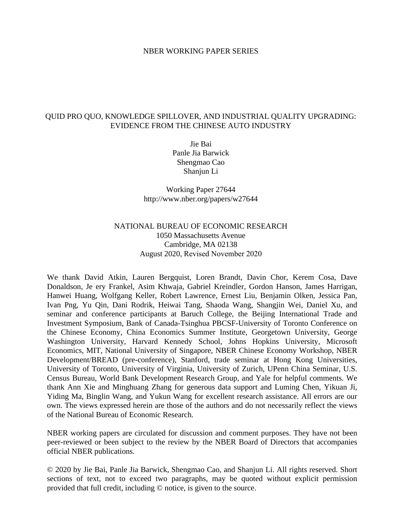### NBER WORKING PAPER SERIES

## QUID PRO QUO, KNOWLEDGE SPILLOVER, AND INDUSTRIAL QUALITY UPGRADING: EVIDENCE FROM THE CHINESE AUTO INDUSTRY

Jie Bai Panle Jia Barwick Shengmao Cao Shanjun Li

Working Paper 27644 http://www.nber.org/papers/w27644

# NATIONAL BUREAU OF ECONOMIC RESEARCH 1050 Massachusetts Avenue Cambridge, MA 02138 August 2020, Revised November 2020

We thank David Atkin, Lauren Bergquist, Loren Brandt, Davin Chor, Kerem Cosa, Dave Donaldson, Je ery Frankel, Asim Khwaja, Gabriel Kreindler, Gordon Hanson, James Harrigan, Hanwei Huang, Wolfgang Keller, Robert Lawrence, Ernest Liu, Benjamin Olken, Jessica Pan, Ivan Png, Yu Qin, Dani Rodrik, Heiwai Tang, Shaoda Wang, Shangjin Wei, Daniel Xu, and seminar and conference participants at Baruch College, the Beijing International Trade and Investment Symposium, Bank of Canada-Tsinghua PBCSF-University of Toronto Conference on the Chinese Economy, China Economics Summer Institute, Georgetown University, George Washington University, Harvard Kennedy School, Johns Hopkins University, Microsoft Economics, MIT, National University of Singapore, NBER Chinese Economy Workshop, NBER Development/BREAD (pre-conference), Stanford, trade seminar at Hong Kong Universities, University of Toronto, University of Virginia, University of Zurich, UPenn China Seminar, U.S. Census Bureau, World Bank Development Research Group, and Yale for helpful comments. We thank Ann Xie and Minghuang Zhang for generous data support and Luming Chen, Yikuan Ji, Yiding Ma, Binglin Wang, and Yukun Wang for excellent research assistance. All errors are our own. The views expressed herein are those of the authors and do not necessarily reflect the views of the National Bureau of Economic Research.

NBER working papers are circulated for discussion and comment purposes. They have not been peer-reviewed or been subject to the review by the NBER Board of Directors that accompanies official NBER publications.

© 2020 by Jie Bai, Panle Jia Barwick, Shengmao Cao, and Shanjun Li. All rights reserved. Short sections of text, not to exceed two paragraphs, may be quoted without explicit permission provided that full credit, including © notice, is given to the source.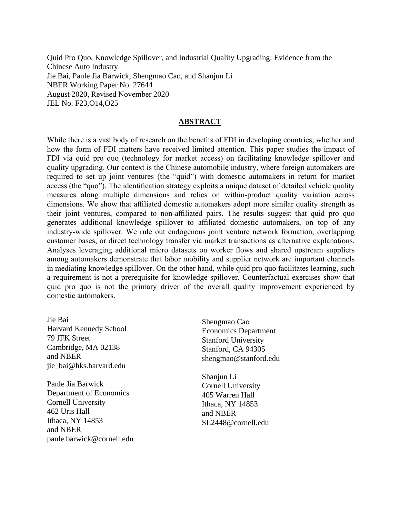Quid Pro Quo, Knowledge Spillover, and Industrial Quality Upgrading: Evidence from the Chinese Auto Industry Jie Bai, Panle Jia Barwick, Shengmao Cao, and Shanjun Li NBER Working Paper No. 27644 August 2020, Revised November 2020 JEL No. F23,O14,O25

## **ABSTRACT**

While there is a vast body of research on the benefits of FDI in developing countries, whether and how the form of FDI matters have received limited attention. This paper studies the impact of FDI via quid pro quo (technology for market access) on facilitating knowledge spillover and quality upgrading. Our context is the Chinese automobile industry, where foreign automakers are required to set up joint ventures (the "quid") with domestic automakers in return for market access (the "quo"). The identification strategy exploits a unique dataset of detailed vehicle quality measures along multiple dimensions and relies on within-product quality variation across dimensions. We show that affiliated domestic automakers adopt more similar quality strength as their joint ventures, compared to non-affiliated pairs. The results suggest that quid pro quo generates additional knowledge spillover to affiliated domestic automakers, on top of any industry-wide spillover. We rule out endogenous joint venture network formation, overlapping customer bases, or direct technology transfer via market transactions as alternative explanations. Analyses leveraging additional micro datasets on worker flows and shared upstream suppliers among automakers demonstrate that labor mobility and supplier network are important channels in mediating knowledge spillover. On the other hand, while quid pro quo facilitates learning, such a requirement is not a prerequisite for knowledge spillover. Counterfactual exercises show that quid pro quo is not the primary driver of the overall quality improvement experienced by domestic automakers.

Jie Bai Harvard Kennedy School 79 JFK Street Cambridge, MA 02138 and NBER jie\_bai@hks.harvard.edu

Panle Jia Barwick Department of Economics Cornell University 462 Uris Hall Ithaca, NY 14853 and NBER panle.barwick@cornell.edu Shengmao Cao Economics Department Stanford University Stanford, CA 94305 shengmao@stanford.edu

Shanjun Li Cornell University 405 Warren Hall Ithaca, NY 14853 and NBER SL2448@cornell.edu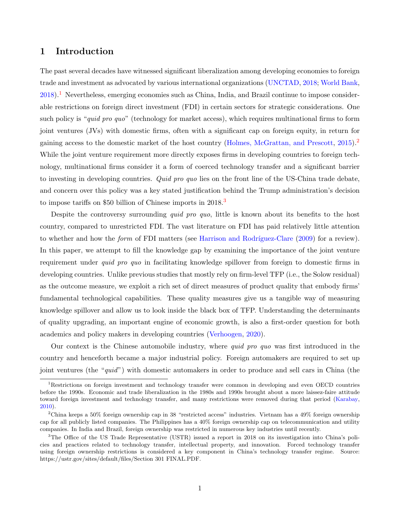## 1 Introduction

The past several decades have witnessed significant liberalization among developing economies to foreign trade and investment as advocated by various international organizations [\(UNCTAD,](#page-31-0) [2018;](#page-31-0) [World Bank,](#page-31-1) [2018\)](#page-31-1).[1](#page-2-0) Nevertheless, emerging economies such as China, India, and Brazil continue to impose considerable restrictions on foreign direct investment (FDI) in certain sectors for strategic considerations. One such policy is "quid pro quo" (technology for market access), which requires multinational firms to form joint ventures (JVs) with domestic firms, often with a significant cap on foreign equity, in return for gaining access to the domestic market of the host country [\(Holmes, McGrattan, and Prescott,](#page-29-0) [2015\)](#page-29-0).<sup>[2](#page-2-1)</sup> While the joint venture requirement more directly exposes firms in developing countries to foreign technology, multinational firms consider it a form of coerced technology transfer and a significant barrier to investing in developing countries. Quid pro quo lies on the front line of the US-China trade debate, and concern over this policy was a key stated justification behind the Trump administration's decision to impose tariffs on \$50 billion of Chinese imports in 2018.[3](#page-2-2)

Despite the controversy surrounding *quid pro quo*, little is known about its benefits to the host country, compared to unrestricted FDI. The vast literature on FDI has paid relatively little attention to whether and how the *form* of FDI matters (see Harrison and Rodríguez-Clare [\(2009\)](#page-29-1) for a review). In this paper, we attempt to fill the knowledge gap by examining the importance of the joint venture requirement under *quid pro quo* in facilitating knowledge spillover from foreign to domestic firms in developing countries. Unlike previous studies that mostly rely on firm-level TFP (i.e., the Solow residual) as the outcome measure, we exploit a rich set of direct measures of product quality that embody firms' fundamental technological capabilities. These quality measures give us a tangible way of measuring knowledge spillover and allow us to look inside the black box of TFP. Understanding the determinants of quality upgrading, an important engine of economic growth, is also a first-order question for both academics and policy makers in developing countries [\(Verhoogen,](#page-31-2) [2020\)](#page-31-2).

Our context is the Chinese automobile industry, where quid pro quo was first introduced in the country and henceforth became a major industrial policy. Foreign automakers are required to set up joint ventures (the "quid") with domestic automakers in order to produce and sell cars in China (the

<span id="page-2-0"></span><sup>&</sup>lt;sup>1</sup>Restrictions on foreign investment and technology transfer were common in developing and even OECD countries before the 1990s. Economic and trade liberalization in the 1980s and 1990s brought about a more laissez-faire attitude toward foreign investment and technology transfer, and many restrictions were removed during that period [\(Karabay,](#page-30-0) [2010\)](#page-30-0).

<span id="page-2-1"></span><sup>2</sup>China keeps a 50% foreign ownership cap in 38 "restricted access" industries. Vietnam has a 49% foreign ownership cap for all publicly listed companies. The Philippines has a 40% foreign ownership cap on telecommunication and utility companies. In India and Brazil, foreign ownership was restricted in numerous key industries until recently.

<span id="page-2-2"></span><sup>&</sup>lt;sup>3</sup>The Office of the US Trade Representative (USTR) issued a report in 2018 on its investigation into China's policies and practices related to technology transfer, intellectual property, and innovation. Forced technology transfer using foreign ownership restrictions is considered a key component in China's technology transfer regime. Source: https://ustr.gov/sites/default/files/Section 301 FINAL.PDF.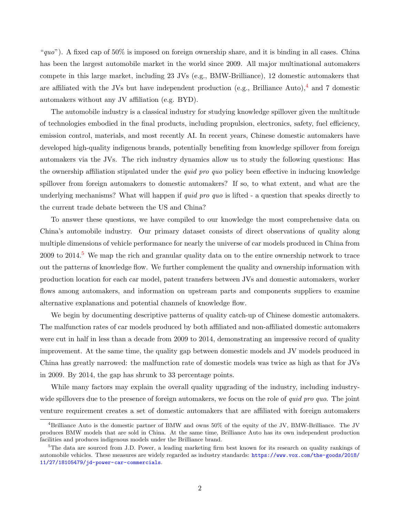"quo"). A fixed cap of  $50\%$  is imposed on foreign ownership share, and it is binding in all cases. China has been the largest automobile market in the world since 2009. All major multinational automakers compete in this large market, including 23 JVs (e.g., BMW-Brilliance), 12 domestic automakers that are affiliated with the JVs but have independent production (e.g., Brilliance Auto),<sup>[4](#page-3-0)</sup> and 7 domestic automakers without any JV affiliation (e.g. BYD).

The automobile industry is a classical industry for studying knowledge spillover given the multitude of technologies embodied in the final products, including propulsion, electronics, safety, fuel efficiency, emission control, materials, and most recently AI. In recent years, Chinese domestic automakers have developed high-quality indigenous brands, potentially benefiting from knowledge spillover from foreign automakers via the JVs. The rich industry dynamics allow us to study the following questions: Has the ownership affiliation stipulated under the *quid pro quo* policy been effective in inducing knowledge spillover from foreign automakers to domestic automakers? If so, to what extent, and what are the underlying mechanisms? What will happen if *quid pro quo* is lifted - a question that speaks directly to the current trade debate between the US and China?

To answer these questions, we have compiled to our knowledge the most comprehensive data on China's automobile industry. Our primary dataset consists of direct observations of quality along multiple dimensions of vehicle performance for nearly the universe of car models produced in China from 2009 to 2014.<sup>[5](#page-3-1)</sup> We map the rich and granular quality data on to the entire ownership network to trace out the patterns of knowledge flow. We further complement the quality and ownership information with production location for each car model, patent transfers between JVs and domestic automakers, worker flows among automakers, and information on upstream parts and components suppliers to examine alternative explanations and potential channels of knowledge flow.

We begin by documenting descriptive patterns of quality catch-up of Chinese domestic automakers. The malfunction rates of car models produced by both affiliated and non-affiliated domestic automakers were cut in half in less than a decade from 2009 to 2014, demonstrating an impressive record of quality improvement. At the same time, the quality gap between domestic models and JV models produced in China has greatly narrowed: the malfunction rate of domestic models was twice as high as that for JVs in 2009. By 2014, the gap has shrunk to 33 percentage points.

While many factors may explain the overall quality upgrading of the industry, including industrywide spillovers due to the presence of foreign automakers, we focus on the role of *quid pro quo*. The joint venture requirement creates a set of domestic automakers that are affiliated with foreign automakers

<span id="page-3-0"></span><sup>4</sup>Brilliance Auto is the domestic partner of BMW and owns 50% of the equity of the JV, BMW-Brilliance. The JV produces BMW models that are sold in China. At the same time, Brilliance Auto has its own independent production facilities and produces indigenous models under the Brilliance brand.

<span id="page-3-1"></span><sup>&</sup>lt;sup>5</sup>The data are sourced from J.D. Power, a leading marketing firm best known for its research on quality rankings of automobile vehicles. These measures are widely regarded as industry standards: [https://www.vox.com/the-goods/2018/](https://www.vox.com/the-goods/2018/11/27/18105479/jd-power-car-commercials) [11/27/18105479/jd-power-car-commercials](https://www.vox.com/the-goods/2018/11/27/18105479/jd-power-car-commercials).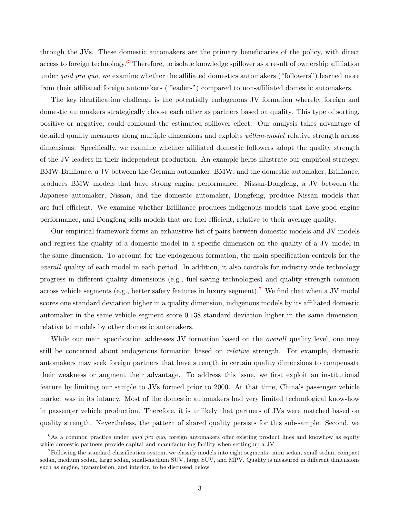through the JVs. These domestic automakers are the primary beneficiaries of the policy, with direct access to foreign technology.<sup>[6](#page-4-0)</sup> Therefore, to isolate knowledge spillover as a result of ownership affiliation under *quid pro quo*, we examine whether the affiliated domestics automakers ("followers") learned more from their affiliated foreign automakers ("leaders") compared to non-affiliated domestic automakers.

The key identification challenge is the potentially endogenous JV formation whereby foreign and domestic automakers strategically choose each other as partners based on quality. This type of sorting, positive or negative, could confound the estimated spillover effect. Our analysis takes advantage of detailed quality measures along multiple dimensions and exploits within-model relative strength across dimensions. Specifically, we examine whether affiliated domestic followers adopt the quality strength of the JV leaders in their independent production. An example helps illustrate our empirical strategy. BMW-Brilliance, a JV between the German automaker, BMW, and the domestic automaker, Brilliance, produces BMW models that have strong engine performance. Nissan-Dongfeng, a JV between the Japanese automaker, Nissan, and the domestic automaker, Dongfeng, produce Nissan models that are fuel efficient. We examine whether Brilliance produces indigenous models that have good engine performance, and Dongfeng sells models that are fuel efficient, relative to their average quality.

Our empirical framework forms an exhaustive list of pairs between domestic models and JV models and regress the quality of a domestic model in a specific dimension on the quality of a JV model in the same dimension. To account for the endogenous formation, the main specification controls for the overall quality of each model in each period. In addition, it also controls for industry-wide technology progress in different quality dimensions (e.g., fuel-saving technologies) and quality strength common across vehicle segments (e.g., better safety features in luxury segment).<sup>[7](#page-4-1)</sup> We find that when a JV model scores one standard deviation higher in a quality dimension, indigenous models by its affiliated domestic automaker in the same vehicle segment score 0.138 standard deviation higher in the same dimension, relative to models by other domestic automakers.

While our main specification addresses JV formation based on the *overall* quality level, one may still be concerned about endogenous formation based on relative strength. For example, domestic automakers may seek foreign partners that have strength in certain quality dimensions to compensate their weakness or augment their advantage. To address this issue, we first exploit an institutional feature by limiting our sample to JVs formed prior to 2000. At that time, China's passenger vehicle market was in its infancy. Most of the domestic automakers had very limited technological know-how in passenger vehicle production. Therefore, it is unlikely that partners of JVs were matched based on quality strength. Nevertheless, the pattern of shared quality persists for this sub-sample. Second, we

<span id="page-4-0"></span> $6$ As a common practice under *quid pro quo*, foreign automakers offer existing product lines and knowhow as equity while domestic partners provide capital and manufacturing facility when setting up a JV.

<span id="page-4-1"></span><sup>7</sup>Following the standard classification system, we classify models into eight segments: mini sedan, small sedan, compact sedan, medium sedan, large sedan, small-medium SUV, large SUV, and MPV. Quality is measured in different dimensions such as engine, transmission, and interior, to be discussed below.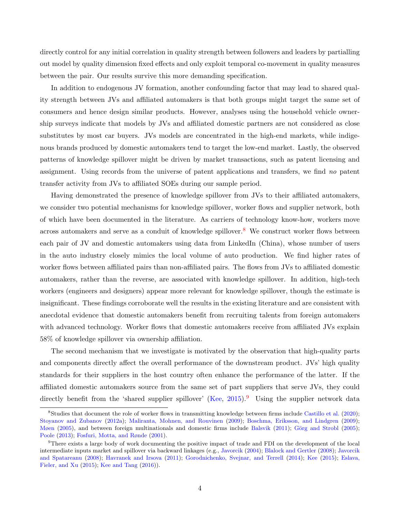directly control for any initial correlation in quality strength between followers and leaders by partialling out model by quality dimension fixed effects and only exploit temporal co-movement in quality measures between the pair. Our results survive this more demanding specification.

In addition to endogenous JV formation, another confounding factor that may lead to shared quality strength between JVs and affiliated automakers is that both groups might target the same set of consumers and hence design similar products. However, analyses using the household vehicle ownership surveys indicate that models by JVs and affiliated domestic partners are not considered as close substitutes by most car buyers. JVs models are concentrated in the high-end markets, while indigenous brands produced by domestic automakers tend to target the low-end market. Lastly, the observed patterns of knowledge spillover might be driven by market transactions, such as patent licensing and assignment. Using records from the universe of patent applications and transfers, we find no patent transfer activity from JVs to affiliated SOEs during our sample period.

Having demonstrated the presence of knowledge spillover from JVs to their affiliated automakers, we consider two potential mechanisms for knowledge spillover, worker flows and supplier network, both of which have been documented in the literature. As carriers of technology know-how, workers move across automakers and serve as a conduit of knowledge spillover.<sup>[8](#page-5-0)</sup> We construct worker flows between each pair of JV and domestic automakers using data from LinkedIn (China), whose number of users in the auto industry closely mimics the local volume of auto production. We find higher rates of worker flows between affiliated pairs than non-affiliated pairs. The flows from JVs to affiliated domestic automakers, rather than the reverse, are associated with knowledge spillover. In addition, high-tech workers (engineers and designers) appear more relevant for knowledge spillover, though the estimate is insignificant. These findings corroborate well the results in the existing literature and are consistent with anecdotal evidence that domestic automakers benefit from recruiting talents from foreign automakers with advanced technology. Worker flows that domestic automakers receive from affiliated JVs explain 58% of knowledge spillover via ownership affiliation.

The second mechanism that we investigate is motivated by the observation that high-quality parts and components directly affect the overall performance of the downstream product. JVs' high quality standards for their suppliers in the host country often enhance the performance of the latter. If the affiliated domestic automakers source from the same set of part suppliers that serve JVs, they could directly benefit from the 'shared supplier spillover' [\(Kee,](#page-30-1)  $2015$ ).<sup>[9](#page-5-1)</sup> Using the supplier network data

<span id="page-5-0"></span><sup>8</sup>Studies that document the role of worker flows in transmitting knowledge between firms include [Castillo et al.](#page-28-0) [\(2020\)](#page-28-0); [Stoyanov and Zubanov](#page-31-3) [\(2012a\)](#page-31-3); [Maliranta, Mohnen, and Rouvinen](#page-30-2) [\(2009\)](#page-30-2); [Boschma, Eriksson, and Lindgren](#page-28-1) [\(2009\)](#page-28-1); [Møen](#page-30-3) [\(2005\)](#page-29-2), and between foreign multinationals and domestic firms include [Balsvik](#page-28-2) [\(2011\)](#page-28-2); Görg and Strobl (2005); [Poole](#page-31-4) [\(2013\)](#page-31-4); [Fosfuri, Motta, and Rønde](#page-29-3) [\(2001\)](#page-29-3).

<span id="page-5-1"></span> $9$ There exists a large body of work documenting the positive impact of trade and FDI on the development of the local intermediate inputs market and spillover via backward linkages (e.g., [Javorcik](#page-30-4) [\(2004\)](#page-30-4); [Blalock and Gertler](#page-28-3) [\(2008\)](#page-28-3); [Javorcik](#page-30-5) [and Spatareanu](#page-30-5) [\(2008\)](#page-30-5); [Havranek and Irsova](#page-29-4) [\(2011\)](#page-29-4); [Gorodnichenko, Svejnar, and Terrell](#page-29-5) [\(2014\)](#page-29-5); [Kee](#page-30-1) [\(2015\)](#page-30-1); [Eslava,](#page-29-6) [Fieler, and Xu](#page-29-6) [\(2015\)](#page-29-6); [Kee and Tang](#page-30-6) [\(2016\)](#page-30-6)).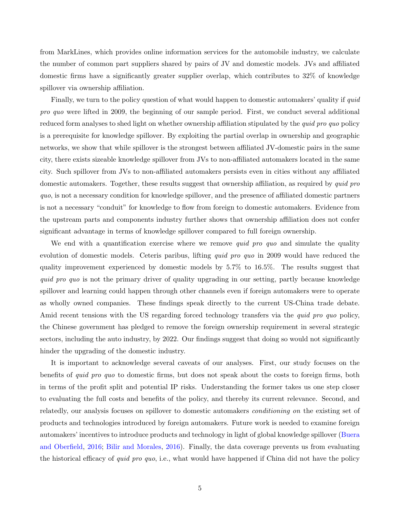from MarkLines, which provides online information services for the automobile industry, we calculate the number of common part suppliers shared by pairs of JV and domestic models. JVs and affiliated domestic firms have a significantly greater supplier overlap, which contributes to 32% of knowledge spillover via ownership affiliation.

Finally, we turn to the policy question of what would happen to domestic automakers' quality if *quid* pro quo were lifted in 2009, the beginning of our sample period. First, we conduct several additional reduced form analyses to shed light on whether ownership affiliation stipulated by the *quid pro quo* policy is a prerequisite for knowledge spillover. By exploiting the partial overlap in ownership and geographic networks, we show that while spillover is the strongest between affiliated JV-domestic pairs in the same city, there exists sizeable knowledge spillover from JVs to non-affiliated automakers located in the same city. Such spillover from JVs to non-affiliated automakers persists even in cities without any affiliated domestic automakers. Together, these results suggest that ownership affiliation, as required by *quid pro* quo, is not a necessary condition for knowledge spillover, and the presence of affiliated domestic partners is not a necessary "conduit" for knowledge to flow from foreign to domestic automakers. Evidence from the upstream parts and components industry further shows that ownership affiliation does not confer significant advantage in terms of knowledge spillover compared to full foreign ownership.

We end with a quantification exercise where we remove *quid pro quo* and simulate the quality evolution of domestic models. Ceteris paribus, lifting *quid pro quo* in 2009 would have reduced the quality improvement experienced by domestic models by 5.7% to 16.5%. The results suggest that quid pro quo is not the primary driver of quality upgrading in our setting, partly because knowledge spillover and learning could happen through other channels even if foreign automakers were to operate as wholly owned companies. These findings speak directly to the current US-China trade debate. Amid recent tensions with the US regarding forced technology transfers via the *quid pro quo* policy, the Chinese government has pledged to remove the foreign ownership requirement in several strategic sectors, including the auto industry, by 2022. Our findings suggest that doing so would not significantly hinder the upgrading of the domestic industry.

It is important to acknowledge several caveats of our analyses. First, our study focuses on the benefits of quid pro quo to domestic firms, but does not speak about the costs to foreign firms, both in terms of the profit split and potential IP risks. Understanding the former takes us one step closer to evaluating the full costs and benefits of the policy, and thereby its current relevance. Second, and relatedly, our analysis focuses on spillover to domestic automakers conditioning on the existing set of products and technologies introduced by foreign automakers. Future work is needed to examine foreign automakers' incentives to introduce products and technology in light of global knowledge spillover [\(Buera](#page-28-4) [and Oberfield,](#page-28-4) [2016;](#page-28-4) [Bilir and Morales,](#page-28-5) [2016\)](#page-28-5). Finally, the data coverage prevents us from evaluating the historical efficacy of quid pro quo, i.e., what would have happened if China did not have the policy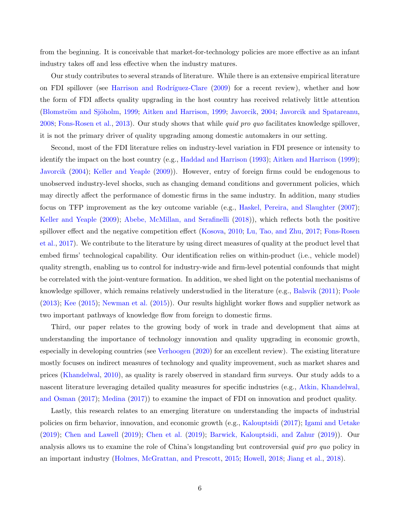from the beginning. It is conceivable that market-for-technology policies are more effective as an infant industry takes off and less effective when the industry matures.

Our study contributes to several strands of literature. While there is an extensive empirical literature on FDI spillover (see Harrison and Rodríguez-Clare [\(2009\)](#page-29-1) for a recent review), whether and how the form of FDI affects quality upgrading in the host country has received relatively little attention (Blomström and Sjöholm, [1999;](#page-28-7) [Aitken and Harrison,](#page-28-7) 1999; [Javorcik,](#page-30-4) [2004;](#page-30-4) [Javorcik and Spatareanu,](#page-30-5) [2008;](#page-30-5) [Fons-Rosen et al.,](#page-29-7) [2013\)](#page-29-7). Our study shows that while quid pro quo facilitates knowledge spillover, it is not the primary driver of quality upgrading among domestic automakers in our setting.

Second, most of the FDI literature relies on industry-level variation in FDI presence or intensity to identify the impact on the host country (e.g., [Haddad and Harrison](#page-29-8) [\(1993\)](#page-29-8); [Aitken and Harrison](#page-28-7) [\(1999\)](#page-28-7); [Javorcik](#page-30-4) [\(2004\)](#page-30-4); [Keller and Yeaple](#page-30-7) [\(2009\)](#page-30-7)). However, entry of foreign firms could be endogenous to unobserved industry-level shocks, such as changing demand conditions and government policies, which may directly affect the performance of domestic firms in the same industry. In addition, many studies focus on TFP improvement as the key outcome variable (e.g., [Haskel, Pereira, and Slaughter](#page-29-9) [\(2007\)](#page-29-9); [Keller and Yeaple](#page-30-7) [\(2009\)](#page-30-7); [Abebe, McMillan, and Serafinelli](#page-28-8) [\(2018\)](#page-28-8)), which reflects both the positive spillover effect and the negative competition effect [\(Kosova,](#page-30-8) [2010;](#page-30-8) [Lu, Tao, and Zhu,](#page-30-9) [2017;](#page-30-9) [Fons-Rosen](#page-29-10) [et al.,](#page-29-10) [2017\)](#page-29-10). We contribute to the literature by using direct measures of quality at the product level that embed firms' technological capability. Our identification relies on within-product (i.e., vehicle model) quality strength, enabling us to control for industry-wide and firm-level potential confounds that might be correlated with the joint-venture formation. In addition, we shed light on the potential mechanisms of knowledge spillover, which remains relatively understudied in the literature (e.g., [Balsvik](#page-28-2) [\(2011\)](#page-28-2); [Poole](#page-31-4) [\(2013\)](#page-31-4); [Kee](#page-30-1) [\(2015\)](#page-30-1); [Newman et al.](#page-31-5) [\(2015\)](#page-31-5)). Our results highlight worker flows and supplier network as two important pathways of knowledge flow from foreign to domestic firms.

Third, our paper relates to the growing body of work in trade and development that aims at understanding the importance of technology innovation and quality upgrading in economic growth, especially in developing countries (see [Verhoogen](#page-31-2) [\(2020\)](#page-31-2) for an excellent review). The existing literature mostly focuses on indirect measures of technology and quality improvement, such as market shares and prices [\(Khandelwal,](#page-30-10) [2010\)](#page-30-10), as quality is rarely observed in standard firm surveys. Our study adds to a nascent literature leveraging detailed quality measures for specific industries (e.g., [Atkin, Khandelwal,](#page-28-9) [and Osman](#page-28-9) [\(2017\)](#page-28-9); [Medina](#page-30-11) [\(2017\)](#page-30-11)) to examine the impact of FDI on innovation and product quality.

Lastly, this research relates to an emerging literature on understanding the impacts of industrial policies on firm behavior, innovation, and economic growth (e.g., [Kalouptsidi](#page-30-12) [\(2017\)](#page-30-12); [Igami and Uetake](#page-29-11) [\(2019\)](#page-29-11); [Chen and Lawell](#page-28-10) [\(2019\)](#page-28-10); [Chen et al.](#page-28-11) [\(2019\)](#page-28-11); [Barwick, Kalouptsidi, and Zahur](#page-28-12) [\(2019\)](#page-28-12)). Our analysis allows us to examine the role of China's longstanding but controversial quid pro quo policy in an important industry [\(Holmes, McGrattan, and Prescott,](#page-29-0) [2015;](#page-29-0) [Howell,](#page-29-12) [2018;](#page-29-12) [Jiang et al.,](#page-30-13) [2018\)](#page-30-13).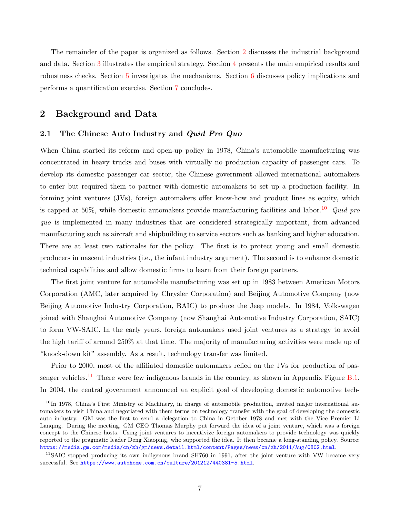The remainder of the paper is organized as follows. Section [2](#page-8-0) discusses the industrial background and data. Section [3](#page-14-0) illustrates the empirical strategy. Section [4](#page-17-0) presents the main empirical results and robustness checks. Section [5](#page-21-0) investigates the mechanisms. Section [6](#page-23-0) discusses policy implications and performs a quantification exercise. Section [7](#page-27-0) concludes.

## <span id="page-8-0"></span>2 Background and Data

## <span id="page-8-3"></span>2.1 The Chinese Auto Industry and *Quid Pro Quo*

When China started its reform and open-up policy in 1978, China's automobile manufacturing was concentrated in heavy trucks and buses with virtually no production capacity of passenger cars. To develop its domestic passenger car sector, the Chinese government allowed international automakers to enter but required them to partner with domestic automakers to set up a production facility. In forming joint ventures (JVs), foreign automakers offer know-how and product lines as equity, which is capped at 50%, while domestic automakers provide manufacturing facilities and labor.<sup>[10](#page-8-1)</sup> Quid pro quo is implemented in many industries that are considered strategically important, from advanced manufacturing such as aircraft and shipbuilding to service sectors such as banking and higher education. There are at least two rationales for the policy. The first is to protect young and small domestic producers in nascent industries (i.e., the infant industry argument). The second is to enhance domestic technical capabilities and allow domestic firms to learn from their foreign partners.

The first joint venture for automobile manufacturing was set up in 1983 between American Motors Corporation (AMC, later acquired by Chrysler Corporation) and Beijing Automotive Company (now Beijing Automotive Industry Corporation, BAIC) to produce the Jeep models. In 1984, Volkswagen joined with Shanghai Automotive Company (now Shanghai Automotive Industry Corporation, SAIC) to form VW-SAIC. In the early years, foreign automakers used joint ventures as a strategy to avoid the high tariff of around 250% at that time. The majority of manufacturing activities were made up of "knock-down kit" assembly. As a result, technology transfer was limited.

Prior to 2000, most of the affiliated domestic automakers relied on the JVs for production of pas-senger vehicles.<sup>[11](#page-8-2)</sup> There were few indigenous brands in the country, as shown in Appendix Figure [B.1.](#page-49-0) In 2004, the central government announced an explicit goal of developing domestic automotive tech-

<span id="page-8-1"></span> $10$ In 1978, China's First Ministry of Machinery, in charge of automobile production, invited major international automakers to visit China and negotiated with them terms on technology transfer with the goal of developing the domestic auto industry. GM was the first to send a delegation to China in October 1978 and met with the Vice Premier Li Lanqing. During the meeting, GM CEO Thomas Murphy put forward the idea of a joint venture, which was a foreign concept to the Chinese hosts. Using joint ventures to incentivize foreign automakers to provide technology was quickly reported to the pragmatic leader Deng Xiaoping, who supported the idea. It then became a long-standing policy. Source: <https://media.gm.com/media/cn/zh/gm/news.detail.html/content/Pages/news/cn/zh/2011/Aug/0802.html>.

<span id="page-8-2"></span><sup>&</sup>lt;sup>11</sup>SAIC stopped producing its own indigenous brand SH760 in 1991, after the joint venture with VW became very successful. See <https://www.autohome.com.cn/culture/201212/440381-5.html>.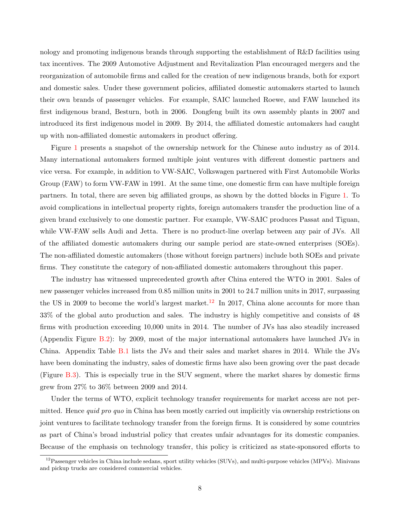nology and promoting indigenous brands through supporting the establishment of R&D facilities using tax incentives. The 2009 Automotive Adjustment and Revitalization Plan encouraged mergers and the reorganization of automobile firms and called for the creation of new indigenous brands, both for export and domestic sales. Under these government policies, affiliated domestic automakers started to launch their own brands of passenger vehicles. For example, SAIC launched Roewe, and FAW launched its first indigenous brand, Besturn, both in 2006. Dongfeng built its own assembly plants in 2007 and introduced its first indigenous model in 2009. By 2014, the affiliated domestic automakers had caught up with non-affiliated domestic automakers in product offering.

Figure [1](#page-32-0) presents a snapshot of the ownership network for the Chinese auto industry as of 2014. Many international automakers formed multiple joint ventures with different domestic partners and vice versa. For example, in addition to VW-SAIC, Volkswagen partnered with First Automobile Works Group (FAW) to form VW-FAW in 1991. At the same time, one domestic firm can have multiple foreign partners. In total, there are seven big affiliated groups, as shown by the dotted blocks in Figure [1.](#page-32-0) To avoid complications in intellectual property rights, foreign automakers transfer the production line of a given brand exclusively to one domestic partner. For example, VW-SAIC produces Passat and Tiguan, while VW-FAW sells Audi and Jetta. There is no product-line overlap between any pair of JVs. All of the affiliated domestic automakers during our sample period are state-owned enterprises (SOEs). The non-affiliated domestic automakers (those without foreign partners) include both SOEs and private firms. They constitute the category of non-affiliated domestic automakers throughout this paper.

The industry has witnessed unprecedented growth after China entered the WTO in 2001. Sales of new passenger vehicles increased from 0.85 million units in 2001 to 24.7 million units in 2017, surpassing the US in 2009 to become the world's largest market.<sup>[12](#page-9-0)</sup> In 2017, China alone accounts for more than 33% of the global auto production and sales. The industry is highly competitive and consists of 48 firms with production exceeding 10,000 units in 2014. The number of JVs has also steadily increased (Appendix Figure [B.2\)](#page-50-0): by 2009, most of the major international automakers have launched JVs in China. Appendix Table [B.1](#page-54-0) lists the JVs and their sales and market shares in 2014. While the JVs have been dominating the industry, sales of domestic firms have also been growing over the past decade (Figure [B.3\)](#page-51-0). This is especially true in the SUV segment, where the market shares by domestic firms grew from 27% to 36% between 2009 and 2014.

Under the terms of WTO, explicit technology transfer requirements for market access are not permitted. Hence *quid pro quo* in China has been mostly carried out implicitly via ownership restrictions on joint ventures to facilitate technology transfer from the foreign firms. It is considered by some countries as part of China's broad industrial policy that creates unfair advantages for its domestic companies. Because of the emphasis on technology transfer, this policy is criticized as state-sponsored efforts to

<span id="page-9-0"></span><sup>&</sup>lt;sup>12</sup>Passenger vehicles in China include sedans, sport utility vehicles (SUVs), and multi-purpose vehicles (MPVs). Minivans and pickup trucks are considered commercial vehicles.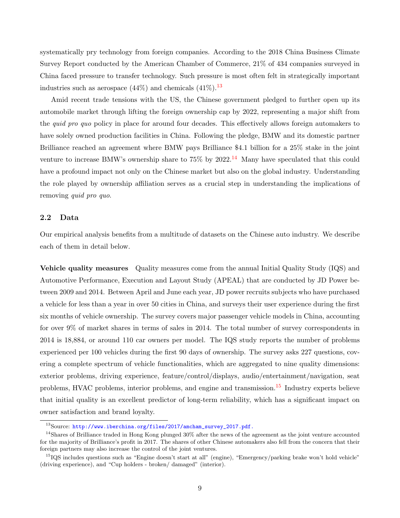systematically pry technology from foreign companies. According to the 2018 China Business Climate Survey Report conducted by the American Chamber of Commerce, 21% of 434 companies surveyed in China faced pressure to transfer technology. Such pressure is most often felt in strategically important industries such as aerospace  $(44\%)$  and chemicals  $(41\%)$ .<sup>[13](#page-10-0)</sup>

Amid recent trade tensions with the US, the Chinese government pledged to further open up its automobile market through lifting the foreign ownership cap by 2022, representing a major shift from the *quid pro quo* policy in place for around four decades. This effectively allows foreign automakers to have solely owned production facilities in China. Following the pledge, BMW and its domestic partner Brilliance reached an agreement where BMW pays Brilliance \$4.1 billion for a 25% stake in the joint venture to increase BMW's ownership share to  $75\%$  by  $2022<sup>14</sup>$  $2022<sup>14</sup>$  $2022<sup>14</sup>$  Many have speculated that this could have a profound impact not only on the Chinese market but also on the global industry. Understanding the role played by ownership affiliation serves as a crucial step in understanding the implications of removing *quid pro quo.* 

## 2.2 Data

Our empirical analysis benefits from a multitude of datasets on the Chinese auto industry. We describe each of them in detail below.

Vehicle quality measures Quality measures come from the annual Initial Quality Study (IQS) and Automotive Performance, Execution and Layout Study (APEAL) that are conducted by JD Power between 2009 and 2014. Between April and June each year, JD power recruits subjects who have purchased a vehicle for less than a year in over 50 cities in China, and surveys their user experience during the first six months of vehicle ownership. The survey covers major passenger vehicle models in China, accounting for over 9% of market shares in terms of sales in 2014. The total number of survey correspondents in 2014 is 18,884, or around 110 car owners per model. The IQS study reports the number of problems experienced per 100 vehicles during the first 90 days of ownership. The survey asks 227 questions, covering a complete spectrum of vehicle functionalities, which are aggregated to nine quality dimensions: exterior problems, driving experience, feature/control/displays, audio/entertainment/navigation, seat problems, HVAC problems, interior problems, and engine and transmission.<sup>[15](#page-10-2)</sup> Industry experts believe that initial quality is an excellent predictor of long-term reliability, which has a significant impact on owner satisfaction and brand loyalty.

<span id="page-10-1"></span><span id="page-10-0"></span><sup>&</sup>lt;sup>13</sup>Source: [http://www.iberchina.org/files/2017/amcham\\_survey\\_2017.pdf.]( http://www.iberchina.org/files/2017/amcham_survey_2017.pdf.)

<sup>&</sup>lt;sup>14</sup>Shares of Brilliance traded in Hong Kong plunged 30% after the news of the agreement as the joint venture accounted for the majority of Brilliance's profit in 2017. The shares of other Chinese automakers also fell from the concern that their foreign partners may also increase the control of the joint ventures.

<span id="page-10-2"></span><sup>&</sup>lt;sup>15</sup>IQS includes questions such as "Engine doesn't start at all" (engine), "Emergency/parking brake won't hold vehicle" (driving experience), and "Cup holders - broken/ damaged" (interior).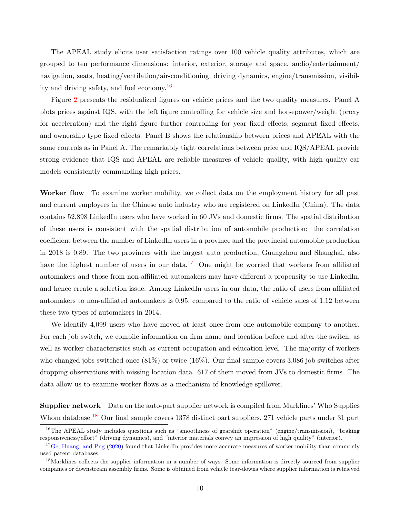The APEAL study elicits user satisfaction ratings over 100 vehicle quality attributes, which are grouped to ten performance dimensions: interior, exterior, storage and space, audio/entertainment/ navigation, seats, heating/ventilation/air-conditioning, driving dynamics, engine/transmission, visibility and driving safety, and fuel economy.[16](#page-11-0)

Figure [2](#page-33-0) presents the residualized figures on vehicle prices and the two quality measures. Panel A plots prices against IQS, with the left figure controlling for vehicle size and horsepower/weight (proxy for acceleration) and the right figure further controlling for year fixed effects, segment fixed effects, and ownership type fixed effects. Panel B shows the relationship between prices and APEAL with the same controls as in Panel A. The remarkably tight correlations between price and IQS/APEAL provide strong evidence that IQS and APEAL are reliable measures of vehicle quality, with high quality car models consistently commanding high prices.

Worker flow To examine worker mobility, we collect data on the employment history for all past and current employees in the Chinese auto industry who are registered on LinkedIn (China). The data contains 52,898 LinkedIn users who have worked in 60 JVs and domestic firms. The spatial distribution of these users is consistent with the spatial distribution of automobile production: the correlation coefficient between the number of LinkedIn users in a province and the provincial automobile production in 2018 is 0.89. The two provinces with the largest auto production, Guangzhou and Shanghai, also have the highest number of users in our data.<sup>[17](#page-11-1)</sup> One might be worried that workers from affiliated automakers and those from non-affiliated automakers may have different a propensity to use LinkedIn, and hence create a selection issue. Among LinkedIn users in our data, the ratio of users from affiliated automakers to non-affiliated automakers is 0.95, compared to the ratio of vehicle sales of 1.12 between these two types of automakers in 2014.

We identify 4,099 users who have moved at least once from one automobile company to another. For each job switch, we compile information on firm name and location before and after the switch, as well as worker characteristics such as current occupation and education level. The majority of workers who changed jobs switched once (81%) or twice (16%). Our final sample covers 3,086 job switches after dropping observations with missing location data. 617 of them moved from JVs to domestic firms. The data allow us to examine worker flows as a mechanism of knowledge spillover.

Supplier network Data on the auto-part supplier network is compiled from Marklines' Who Supplies Whom database.<sup>[18](#page-11-2)</sup> Our final sample covers 1378 distinct part suppliers, 271 vehicle parts under 31 part

<span id="page-11-0"></span><sup>&</sup>lt;sup>16</sup>The APEAL study includes questions such as "smoothness of gearshift operation" (engine/transmission), "braking responsiveness/effort" (driving dynamics), and "interior materials convey an impression of high quality" (interior).

<span id="page-11-1"></span> $17\text{Ge}$ , Huang, and Png [\(2020\)](#page-29-13) found that LinkedIn provides more accurate measures of worker mobility than commonly used patent databases.

<span id="page-11-2"></span><sup>&</sup>lt;sup>18</sup>Marklines collects the supplier information in a number of ways. Some information is directly sourced from supplier companies or downstream assembly firms. Some is obtained from vehicle tear-downs where supplier information is retrieved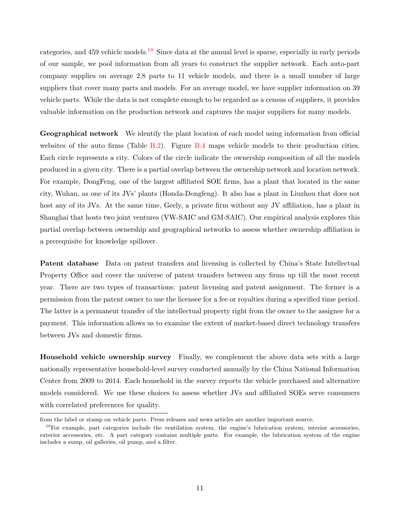categories, and 459 vehicle models.<sup>[19](#page-12-0)</sup> Since data at the annual level is sparse, especially in early periods of our sample, we pool information from all years to construct the supplier network. Each auto-part company supplies on average 2.8 parts to 11 vehicle models, and there is a small number of large suppliers that cover many parts and models. For an average model, we have supplier information on 39 vehicle parts. While the data is not complete enough to be regarded as a census of suppliers, it provides valuable information on the production network and captures the major suppliers for many models.

Geographical network We identify the plant location of each model using information from official websites of the auto firms (Table [B.2\)](#page-55-0). Figure [B.4](#page-52-0) maps vehicle models to their production cities. Each circle represents a city. Colors of the circle indicate the ownership composition of all the models produced in a given city. There is a partial overlap between the ownership network and location network. For example, DongFeng, one of the largest affiliated SOE firms, has a plant that located in the same city, Wuhan, as one of its JVs' plants (Honda-Dongfeng). It also has a plant in Liuzhou that does not host any of its JVs. At the same time, Geely, a private firm without any JV affiliation, has a plant in Shanghai that hosts two joint ventures (VW-SAIC and GM-SAIC). Our empirical analysis explores this partial overlap between ownership and geographical networks to assess whether ownership affiliation is a prerequisite for knowledge spillover.

Patent database Data on patent transfers and licensing is collected by China's State Intellectual Property Office and cover the universe of patent transfers between any firms up till the most recent year. There are two types of transactions: patent licensing and patent assignment. The former is a permission from the patent owner to use the licensee for a fee or royalties during a specified time period. The latter is a permanent transfer of the intellectual property right from the owner to the assignee for a payment. This information allows us to examine the extent of market-based direct technology transfers between JVs and domestic firms.

Household vehicle ownership survey Finally, we complement the above data sets with a large nationally representative household-level survey conducted annually by the China National Information Center from 2009 to 2014. Each household in the survey reports the vehicle purchased and alternative models considered. We use these choices to assess whether JVs and affiliated SOEs serve consumers with correlated preferences for quality.

from the label or stamp on vehicle parts. Press releases and news articles are another important source.

<span id="page-12-0"></span><sup>&</sup>lt;sup>19</sup>For example, part categories include the ventilation system, the engine's lubrication system, interior accessories, exterior accessories, etc. A part category contains multiple parts. For example, the lubrication system of the engine includes a sump, oil galleries, oil pump, and a filter.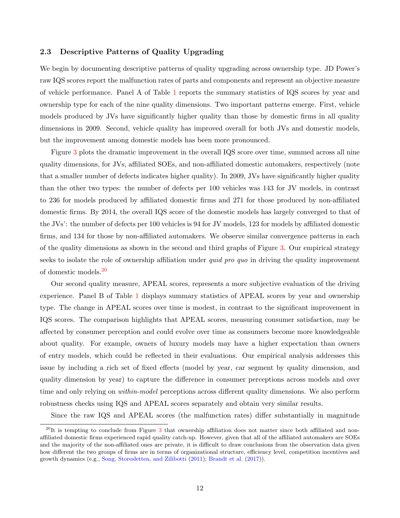#### 2.3 Descriptive Patterns of Quality Upgrading

We begin by documenting descriptive patterns of quality upgrading across ownership type. JD Power's raw IQS scores report the malfunction rates of parts and components and represent an objective measure of vehicle performance. Panel A of Table [1](#page-37-0) reports the summary statistics of IQS scores by year and ownership type for each of the nine quality dimensions. Two important patterns emerge. First, vehicle models produced by JVs have significantly higher quality than those by domestic firms in all quality dimensions in 2009. Second, vehicle quality has improved overall for both JVs and domestic models, but the improvement among domestic models has been more pronounced.

Figure [3](#page-34-0) plots the dramatic improvement in the overall IQS score over time, summed across all nine quality dimensions, for JVs, affiliated SOEs, and non-affiliated domestic automakers, respectively (note that a smaller number of defects indicates higher quality). In 2009, JVs have significantly higher quality than the other two types: the number of defects per 100 vehicles was 143 for JV models, in contrast to 236 for models produced by affiliated domestic firms and 271 for those produced by non-affiliated domestic firms. By 2014, the overall IQS score of the domestic models has largely converged to that of the JVs': the number of defects per 100 vehicles is 94 for JV models, 123 for models by affiliated domestic firms, and 134 for those by non-affiliated automakers. We observe similar convergence patterns in each of the quality dimensions as shown in the second and third graphs of Figure [3.](#page-34-0) Our empirical strategy seeks to isolate the role of ownership affiliation under *quid pro quo* in driving the quality improvement of domestic models.[20](#page-13-0)

Our second quality measure, APEAL scores, represents a more subjective evaluation of the driving experience. Panel B of Table [1](#page-37-0) displays summary statistics of APEAL scores by year and ownership type. The change in APEAL scores over time is modest, in contrast to the significant improvement in IQS scores. The comparison highlights that APEAL scores, measuring consumer satisfaction, may be affected by consumer perception and could evolve over time as consumers become more knowledgeable about quality. For example, owners of luxury models may have a higher expectation than owners of entry models, which could be reflected in their evaluations. Our empirical analysis addresses this issue by including a rich set of fixed effects (model by year, car segment by quality dimension, and quality dimension by year) to capture the difference in consumer perceptions across models and over time and only relying on *within-model* perceptions across different quality dimensions. We also perform robustness checks using IQS and APEAL scores separately and obtain very similar results.

Since the raw IQS and APEAL scores (the malfunction rates) differ substantially in magnitude

<span id="page-13-0"></span> $^{20}$ It is tempting to conclude from Figure [3](#page-34-0) that ownership affiliation does not matter since both affiliated and nonaffiliated domestic firms experienced rapid quality catch-up. However, given that all of the affiliated automakers are SOEs and the majority of the non-affiliated ones are private, it is difficult to draw conclusions from the observation data given how different the two groups of firms are in terms of organizational structure, efficiency level, competition incentives and growth dynamics (e.g., [Song, Storesletten, and Zilibotti](#page-31-6) [\(2011\)](#page-31-6); [Brandt et al.](#page-28-13) [\(2017\)](#page-28-13)).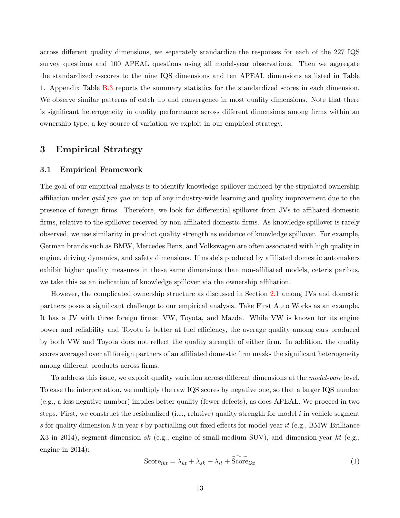across different quality dimensions, we separately standardize the responses for each of the 227 IQS survey questions and 100 APEAL questions using all model-year observations. Then we aggregate the standardized z-scores to the nine IQS dimensions and ten APEAL dimensions as listed in Table [1.](#page-37-0) Appendix Table [B.3](#page-56-0) reports the summary statistics for the standardized scores in each dimension. We observe similar patterns of catch up and convergence in most quality dimensions. Note that there is significant heterogeneity in quality performance across different dimensions among firms within an ownership type, a key source of variation we exploit in our empirical strategy.

## <span id="page-14-0"></span>3 Empirical Strategy

#### 3.1 Empirical Framework

The goal of our empirical analysis is to identify knowledge spillover induced by the stipulated ownership affiliation under quid pro quo on top of any industry-wide learning and quality improvement due to the presence of foreign firms. Therefore, we look for differential spillover from JVs to affiliated domestic firms, relative to the spillover received by non-affiliated domestic firms. As knowledge spillover is rarely observed, we use similarity in product quality strength as evidence of knowledge spillover. For example, German brands such as BMW, Mercedes Benz, and Volkswagen are often associated with high quality in engine, driving dynamics, and safety dimensions. If models produced by affiliated domestic automakers exhibit higher quality measures in these same dimensions than non-affiliated models, ceteris paribus, we take this as an indication of knowledge spillover via the ownership affiliation.

However, the complicated ownership structure as discussed in Section [2.1](#page-8-3) among JVs and domestic partners poses a significant challenge to our empirical analysis. Take First Auto Works as an example. It has a JV with three foreign firms: VW, Toyota, and Mazda. While VW is known for its engine power and reliability and Toyota is better at fuel efficiency, the average quality among cars produced by both VW and Toyota does not reflect the quality strength of either firm. In addition, the quality scores averaged over all foreign partners of an affiliated domestic firm masks the significant heterogeneity among different products across firms.

To address this issue, we exploit quality variation across different dimensions at the model-pair level. To ease the interpretation, we multiply the raw IQS scores by negative one, so that a larger IQS number (e.g., a less negative number) implies better quality (fewer defects), as does APEAL. We proceed in two steps. First, we construct the residualized (i.e., relative) quality strength for model  $i$  in vehicle segment s for quality dimension k in year t by partialling out fixed effects for model-year it (e.g., BMW-Brilliance X3 in 2014), segment-dimension sk (e.g., engine of small-medium SUV), and dimension-year kt (e.g., engine in 2014):

<span id="page-14-1"></span>
$$
Score_{ikt} = \lambda_{kt} + \lambda_{sk} + \lambda_{it} + \widetilde{Score}_{ikt}
$$
\n(1)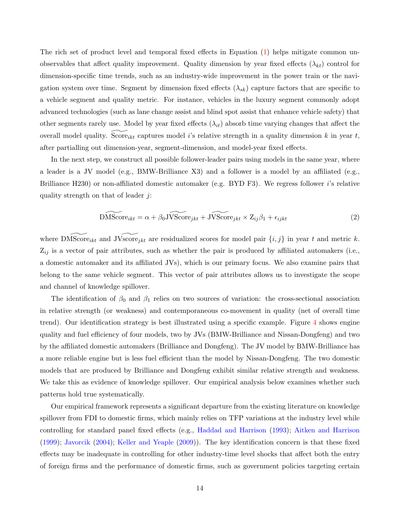The rich set of product level and temporal fixed effects in Equation [\(1\)](#page-14-1) helps mitigate common unobservables that affect quality improvement. Quality dimension by year fixed effects  $(\lambda_{kt})$  control for dimension-specific time trends, such as an industry-wide improvement in the power train or the navigation system over time. Segment by dimension fixed effects  $(\lambda_{sk})$  capture factors that are specific to a vehicle segment and quality metric. For instance, vehicles in the luxury segment commonly adopt advanced technologies (such as lane change assist and blind spot assist that enhance vehicle safety) that other segments rarely use. Model by year fixed effects  $(\lambda_{it})$  absorb time varying changes that affect the overall model quality. Score<sub>ikt</sub> captures model i's relative strength in a quality dimension k in year t, after partialling out dimension-year, segment-dimension, and model-year fixed effects.

In the next step, we construct all possible follower-leader pairs using models in the same year, where a leader is a JV model (e.g., BMW-Brilliance X3) and a follower is a model by an affiliated (e.g., Brilliance H230) or non-affiliated domestic automaker (e.g. BYD F3). We regress follower *i*'s relative quality strength on that of leader  $j$ :

<span id="page-15-0"></span>
$$
\widetilde{\text{DMScore}}_{ikt} = \alpha + \beta_0 \widetilde{\text{JScore}}_{jkt} + \widetilde{\text{JScore}}_{jkt} \times Z_{ij}\beta_1 + \epsilon_{ijkt} \tag{2}
$$

where  $\text{DMScore}_{ikt}$  and  $\text{JVscore}_{jkt}$  are residualized scores for model pair  $\{i, j\}$  in year t and metric k.  $Z_{ij}$  is a vector of pair attributes, such as whether the pair is produced by affiliated automakers (i.e., a domestic automaker and its affiliated JVs), which is our primary focus. We also examine pairs that belong to the same vehicle segment. This vector of pair attributes allows us to investigate the scope and channel of knowledge spillover.

The identification of  $\beta_0$  and  $\beta_1$  relies on two sources of variation: the cross-sectional association in relative strength (or weakness) and contemporaneous co-movement in quality (net of overall time trend). Our identification strategy is best illustrated using a specific example. Figure [4](#page-35-0) shows engine quality and fuel efficiency of four models, two by JVs (BMW-Brilliance and Nissan-Dongfeng) and two by the affiliated domestic automakers (Brilliance and Dongfeng). The JV model by BMW-Brilliance has a more reliable engine but is less fuel efficient than the model by Nissan-Dongfeng. The two domestic models that are produced by Brilliance and Dongfeng exhibit similar relative strength and weakness. We take this as evidence of knowledge spillover. Our empirical analysis below examines whether such patterns hold true systematically.

Our empirical framework represents a significant departure from the existing literature on knowledge spillover from FDI to domestic firms, which mainly relies on TFP variations at the industry level while controlling for standard panel fixed effects (e.g., [Haddad and Harrison](#page-29-8) [\(1993\)](#page-29-8); [Aitken and Harrison](#page-28-7) [\(1999\)](#page-28-7); [Javorcik](#page-30-4) [\(2004\)](#page-30-4); [Keller and Yeaple](#page-30-7) [\(2009\)](#page-30-7)). The key identification concern is that these fixed effects may be inadequate in controlling for other industry-time level shocks that affect both the entry of foreign firms and the performance of domestic firms, such as government policies targeting certain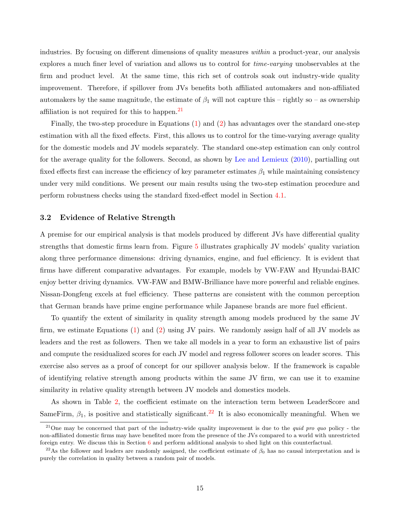industries. By focusing on different dimensions of quality measures within a product-year, our analysis explores a much finer level of variation and allows us to control for *time-varying* unobservables at the firm and product level. At the same time, this rich set of controls soak out industry-wide quality improvement. Therefore, if spillover from JVs benefits both affiliated automakers and non-affiliated automakers by the same magnitude, the estimate of  $\beta_1$  will not capture this – rightly so – as ownership affiliation is not required for this to happen.<sup>[21](#page-16-0)</sup>

Finally, the two-step procedure in Equations [\(1\)](#page-14-1) and [\(2\)](#page-15-0) has advantages over the standard one-step estimation with all the fixed effects. First, this allows us to control for the time-varying average quality for the domestic models and JV models separately. The standard one-step estimation can only control for the average quality for the followers. Second, as shown by [Lee and Lemieux](#page-30-14) [\(2010\)](#page-30-14), partialling out fixed effects first can increase the efficiency of key parameter estimates  $\beta_1$  while maintaining consistency under very mild conditions. We present our main results using the two-step estimation procedure and perform robustness checks using the standard fixed-effect model in Section [4.1.](#page-17-1)

#### 3.2 Evidence of Relative Strength

A premise for our empirical analysis is that models produced by different JVs have differential quality strengths that domestic firms learn from. Figure [5](#page-35-1) illustrates graphically JV models' quality variation along three performance dimensions: driving dynamics, engine, and fuel efficiency. It is evident that firms have different comparative advantages. For example, models by VW-FAW and Hyundai-BAIC enjoy better driving dynamics. VW-FAW and BMW-Brilliance have more powerful and reliable engines. Nissan-Dongfeng excels at fuel efficiency. These patterns are consistent with the common perception that German brands have prime engine performance while Japanese brands are more fuel efficient.

To quantify the extent of similarity in quality strength among models produced by the same JV firm, we estimate Equations [\(1\)](#page-14-1) and [\(2\)](#page-15-0) using JV pairs. We randomly assign half of all JV models as leaders and the rest as followers. Then we take all models in a year to form an exhaustive list of pairs and compute the residualized scores for each JV model and regress follower scores on leader scores. This exercise also serves as a proof of concept for our spillover analysis below. If the framework is capable of identifying relative strength among products within the same JV firm, we can use it to examine similarity in relative quality strength between JV models and domestics models.

As shown in Table [2,](#page-38-0) the coefficient estimate on the interaction term between LeaderScore and SameFirm,  $\beta_1$ , is positive and statistically significant.<sup>[22](#page-16-1)</sup> It is also economically meaningful. When we

<span id="page-16-0"></span><sup>&</sup>lt;sup>21</sup>One may be concerned that part of the industry-wide quality improvement is due to the *quid pro quo* policy - the non-affiliated domestic firms may have benefited more from the presence of the JVs compared to a world with unrestricted foreign entry. We discuss this in Section [6](#page-23-0) and perform additional analysis to shed light on this counterfactual.

<span id="page-16-1"></span><sup>&</sup>lt;sup>22</sup>As the follower and leaders are randomly assigned, the coefficient estimate of  $\beta_0$  has no causal interpretation and is purely the correlation in quality between a random pair of models.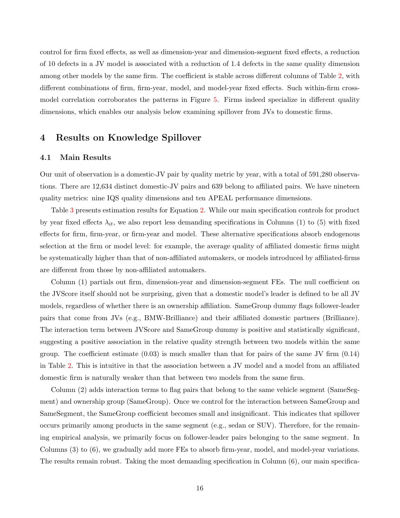control for firm fixed effects, as well as dimension-year and dimension-segment fixed effects, a reduction of 10 defects in a JV model is associated with a reduction of 1.4 defects in the same quality dimension among other models by the same firm. The coefficient is stable across different columns of Table [2,](#page-38-0) with different combinations of firm, firm-year, model, and model-year fixed effects. Such within-firm crossmodel correlation corroborates the patterns in Figure [5.](#page-35-1) Firms indeed specialize in different quality dimensions, which enables our analysis below examining spillover from JVs to domestic firms.

# <span id="page-17-0"></span>4 Results on Knowledge Spillover

#### <span id="page-17-1"></span>4.1 Main Results

Our unit of observation is a domestic-JV pair by quality metric by year, with a total of 591,280 observations. There are 12,634 distinct domestic-JV pairs and 639 belong to affiliated pairs. We have nineteen quality metrics: nine IQS quality dimensions and ten APEAL performance dimensions.

Table [3](#page-39-0) presents estimation results for Equation [2.](#page-15-0) While our main specification controls for product by year fixed effects  $\lambda_{it}$ , we also report less demanding specifications in Columns (1) to (5) with fixed effects for firm, firm-year, or firm-year and model. These alternative specifications absorb endogenous selection at the firm or model level: for example, the average quality of affiliated domestic firms might be systematically higher than that of non-affiliated automakers, or models introduced by affiliated-firms are different from those by non-affiliated automakers.

Column (1) partials out firm, dimension-year and dimension-segment FEs. The null coefficient on the JVScore itself should not be surprising, given that a domestic model's leader is defined to be all JV models, regardless of whether there is an ownership affiliation. SameGroup dummy flags follower-leader pairs that come from JVs (e.g., BMW-Brilliance) and their affiliated domestic partners (Brilliance). The interaction term between JVScore and SameGroup dummy is positive and statistically significant, suggesting a positive association in the relative quality strength between two models within the same group. The coefficient estimate  $(0.03)$  is much smaller than that for pairs of the same JV firm  $(0.14)$ in Table [2.](#page-38-0) This is intuitive in that the association between a JV model and a model from an affiliated domestic firm is naturally weaker than that between two models from the same firm.

Column (2) adds interaction terms to flag pairs that belong to the same vehicle segment (SameSegment) and ownership group (SameGroup). Once we control for the interaction between SameGroup and SameSegment, the SameGroup coefficient becomes small and insignificant. This indicates that spillover occurs primarily among products in the same segment (e.g., sedan or SUV). Therefore, for the remaining empirical analysis, we primarily focus on follower-leader pairs belonging to the same segment. In Columns (3) to (6), we gradually add more FEs to absorb firm-year, model, and model-year variations. The results remain robust. Taking the most demanding specification in Column (6), our main specifica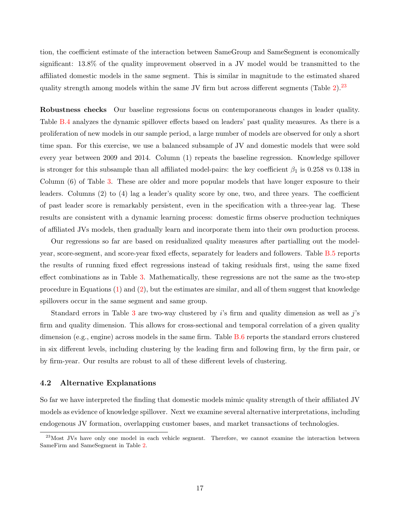tion, the coefficient estimate of the interaction between SameGroup and SameSegment is economically significant: 13.8% of the quality improvement observed in a JV model would be transmitted to the affiliated domestic models in the same segment. This is similar in magnitude to the estimated shared quality strength among models within the same JV firm but across different segments (Table  $2$ ).<sup>[23](#page-18-0)</sup>

Robustness checks Our baseline regressions focus on contemporaneous changes in leader quality. Table [B.4](#page-57-0) analyzes the dynamic spillover effects based on leaders' past quality measures. As there is a proliferation of new models in our sample period, a large number of models are observed for only a short time span. For this exercise, we use a balanced subsample of JV and domestic models that were sold every year between 2009 and 2014. Column (1) repeats the baseline regression. Knowledge spillover is stronger for this subsample than all affiliated model-pairs: the key coefficient  $\beta_1$  is 0.258 vs 0.138 in Column (6) of Table [3.](#page-39-0) These are older and more popular models that have longer exposure to their leaders. Columns (2) to (4) lag a leader's quality score by one, two, and three years. The coefficient of past leader score is remarkably persistent, even in the specification with a three-year lag. These results are consistent with a dynamic learning process: domestic firms observe production techniques of affiliated JVs models, then gradually learn and incorporate them into their own production process.

Our regressions so far are based on residualized quality measures after partialling out the modelyear, score-segment, and score-year fixed effects, separately for leaders and followers. Table [B.5](#page-58-0) reports the results of running fixed effect regressions instead of taking residuals first, using the same fixed effect combinations as in Table [3.](#page-39-0) Mathematically, these regressions are not the same as the two-step procedure in Equations [\(1\)](#page-14-1) and [\(2\)](#page-15-0), but the estimates are similar, and all of them suggest that knowledge spillovers occur in the same segment and same group.

Standard errors in Table [3](#page-39-0) are two-way clustered by  $i$ 's firm and quality dimension as well as  $j$ 's firm and quality dimension. This allows for cross-sectional and temporal correlation of a given quality dimension (e.g., engine) across models in the same firm. Table [B.6](#page-59-0) reports the standard errors clustered in six different levels, including clustering by the leading firm and following firm, by the firm pair, or by firm-year. Our results are robust to all of these different levels of clustering.

#### <span id="page-18-1"></span>4.2 Alternative Explanations

So far we have interpreted the finding that domestic models mimic quality strength of their affiliated JV models as evidence of knowledge spillover. Next we examine several alternative interpretations, including endogenous JV formation, overlapping customer bases, and market transactions of technologies.

<span id="page-18-0"></span><sup>&</sup>lt;sup>23</sup>Most JVs have only one model in each vehicle segment. Therefore, we cannot examine the interaction between SameFirm and SameSegment in Table [2.](#page-38-0)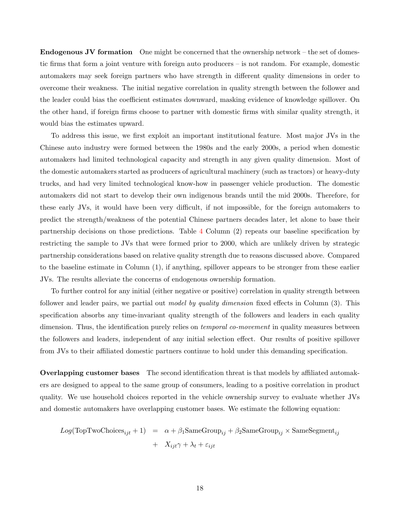Endogenous JV formation One might be concerned that the ownership network – the set of domestic firms that form a joint venture with foreign auto producers – is not random. For example, domestic automakers may seek foreign partners who have strength in different quality dimensions in order to overcome their weakness. The initial negative correlation in quality strength between the follower and the leader could bias the coefficient estimates downward, masking evidence of knowledge spillover. On the other hand, if foreign firms choose to partner with domestic firms with similar quality strength, it would bias the estimates upward.

To address this issue, we first exploit an important institutional feature. Most major JVs in the Chinese auto industry were formed between the 1980s and the early 2000s, a period when domestic automakers had limited technological capacity and strength in any given quality dimension. Most of the domestic automakers started as producers of agricultural machinery (such as tractors) or heavy-duty trucks, and had very limited technological know-how in passenger vehicle production. The domestic automakers did not start to develop their own indigenous brands until the mid 2000s. Therefore, for these early JVs, it would have been very difficult, if not impossible, for the foreign automakers to predict the strength/weakness of the potential Chinese partners decades later, let alone to base their partnership decisions on those predictions. Table [4](#page-40-0) Column (2) repeats our baseline specification by restricting the sample to JVs that were formed prior to 2000, which are unlikely driven by strategic partnership considerations based on relative quality strength due to reasons discussed above. Compared to the baseline estimate in Column (1), if anything, spillover appears to be stronger from these earlier JVs. The results alleviate the concerns of endogenous ownership formation.

To further control for any initial (either negative or positive) correlation in quality strength between follower and leader pairs, we partial out *model by quality dimension* fixed effects in Column (3). This specification absorbs any time-invariant quality strength of the followers and leaders in each quality dimension. Thus, the identification purely relies on *temporal co-movement* in quality measures between the followers and leaders, independent of any initial selection effect. Our results of positive spillover from JVs to their affiliated domestic partners continue to hold under this demanding specification.

Overlapping customer bases The second identification threat is that models by affiliated automakers are designed to appeal to the same group of consumers, leading to a positive correlation in product quality. We use household choices reported in the vehicle ownership survey to evaluate whether JVs and domestic automakers have overlapping customer bases. We estimate the following equation:

$$
Log(TopTwoChoicesijt + 1) = \alpha + \beta_1 SameGroup_{ij} + \beta_2 SameGroup_{ij} \times SameSegment_{ij}
$$
  
+ 
$$
X_{ijt}\gamma + \lambda_t + \varepsilon_{ijt}
$$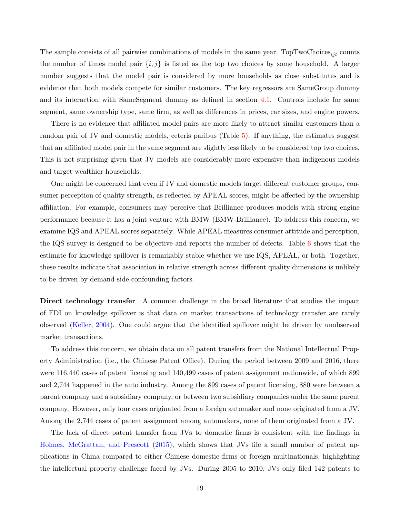The sample consists of all pairwise combinations of models in the same year. TopTwoChoices<sub>ijt</sub> counts the number of times model pair  $\{i, j\}$  is listed as the top two choices by some household. A larger number suggests that the model pair is considered by more households as close substitutes and is evidence that both models compete for similar customers. The key regressors are SameGroup dummy and its interaction with SameSegment dummy as defined in section [4.1.](#page-17-1) Controls include for same segment, same ownership type, same firm, as well as differences in prices, car sizes, and engine powers.

There is no evidence that affiliated model pairs are more likely to attract similar customers than a random pair of JV and domestic models, ceteris paribus (Table [5\)](#page-41-0). If anything, the estimates suggest that an affiliated model pair in the same segment are slightly less likely to be considered top two choices. This is not surprising given that JV models are considerably more expensive than indigenous models and target wealthier households.

One might be concerned that even if JV and domestic models target different customer groups, consumer perception of quality strength, as reflected by APEAL scores, might be affected by the ownership affiliation. For example, consumers may perceive that Brilliance produces models with strong engine performance because it has a joint venture with BMW (BMW-Brilliance). To address this concern, we examine IQS and APEAL scores separately. While APEAL measures consumer attitude and perception, the IQS survey is designed to be objective and reports the number of defects. Table [6](#page-42-0) shows that the estimate for knowledge spillover is remarkably stable whether we use IQS, APEAL, or both. Together, these results indicate that association in relative strength across different quality dimensions is unlikely to be driven by demand-side confounding factors.

Direct technology transfer A common challenge in the broad literature that studies the impact of FDI on knowledge spillover is that data on market transactions of technology transfer are rarely observed [\(Keller,](#page-30-15) [2004\)](#page-30-15). One could argue that the identified spillover might be driven by unobserved market transactions.

To address this concern, we obtain data on all patent transfers from the National Intellectual Property Administration (i.e., the Chinese Patent Office). During the period between 2009 and 2016, there were 116,440 cases of patent licensing and 140,499 cases of patent assignment nationwide, of which 899 and 2,744 happened in the auto industry. Among the 899 cases of patent licensing, 880 were between a parent company and a subsidiary company, or between two subsidiary companies under the same parent company. However, only four cases originated from a foreign automaker and none originated from a JV. Among the 2,744 cases of patent assignment among automakers, none of them originated from a JV.

The lack of direct patent transfer from JVs to domestic firms is consistent with the findings in [Holmes, McGrattan, and Prescott](#page-29-0) [\(2015\)](#page-29-0), which shows that JVs file a small number of patent applications in China compared to either Chinese domestic firms or foreign multinationals, highlighting the intellectual property challenge faced by JVs. During 2005 to 2010, JVs only filed 142 patents to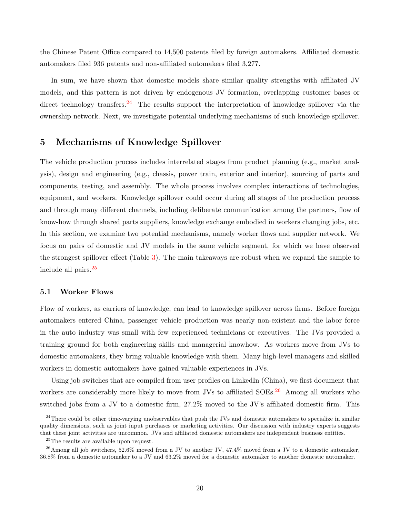the Chinese Patent Office compared to 14,500 patents filed by foreign automakers. Affiliated domestic automakers filed 936 patents and non-affiliated automakers filed 3,277.

In sum, we have shown that domestic models share similar quality strengths with affiliated JV models, and this pattern is not driven by endogenous JV formation, overlapping customer bases or direct technology transfers.<sup>[24](#page-21-1)</sup> The results support the interpretation of knowledge spillover via the ownership network. Next, we investigate potential underlying mechanisms of such knowledge spillover.

## <span id="page-21-0"></span>5 Mechanisms of Knowledge Spillover

The vehicle production process includes interrelated stages from product planning (e.g., market analysis), design and engineering (e.g., chassis, power train, exterior and interior), sourcing of parts and components, testing, and assembly. The whole process involves complex interactions of technologies, equipment, and workers. Knowledge spillover could occur during all stages of the production process and through many different channels, including deliberate communication among the partners, flow of know-how through shared parts suppliers, knowledge exchange embodied in workers changing jobs, etc. In this section, we examine two potential mechanisms, namely worker flows and supplier network. We focus on pairs of domestic and JV models in the same vehicle segment, for which we have observed the strongest spillover effect (Table [3\)](#page-39-0). The main takeaways are robust when we expand the sample to include all pairs.[25](#page-21-2)

#### 5.1 Worker Flows

Flow of workers, as carriers of knowledge, can lead to knowledge spillover across firms. Before foreign automakers entered China, passenger vehicle production was nearly non-existent and the labor force in the auto industry was small with few experienced technicians or executives. The JVs provided a training ground for both engineering skills and managerial knowhow. As workers move from JVs to domestic automakers, they bring valuable knowledge with them. Many high-level managers and skilled workers in domestic automakers have gained valuable experiences in JVs.

Using job switches that are compiled from user profiles on LinkedIn (China), we first document that workers are considerably more likely to move from JVs to affiliated SOEs.<sup>[26](#page-21-3)</sup> Among all workers who switched jobs from a JV to a domestic firm, 27.2% moved to the JV's affiliated domestic firm. This

<span id="page-21-1"></span> $24$ There could be other time-varying unobservables that push the JVs and domestic automakers to specialize in similar quality dimensions, such as joint input purchases or marketing activities. Our discussion with industry experts suggests that these joint activities are uncommon. JVs and affiliated domestic automakers are independent business entities.

<span id="page-21-3"></span><span id="page-21-2"></span><sup>25</sup>The results are available upon request.

<sup>26</sup>Among all job switchers, 52.6% moved from a JV to another JV, 47.4% moved from a JV to a domestic automaker, 36.8% from a domestic automaker to a JV and 63.2% moved for a domestic automaker to another domestic automaker.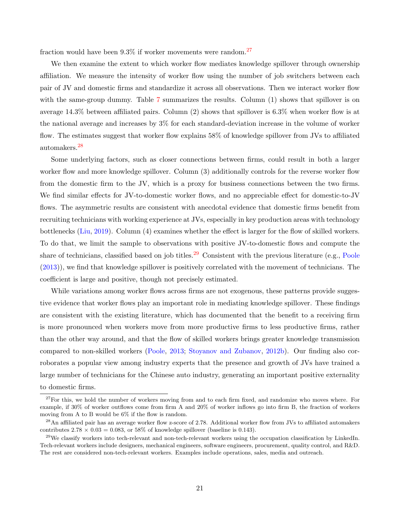fraction would have been  $9.3\%$  if worker movements were random.<sup>[27](#page-22-0)</sup>

We then examine the extent to which worker flow mediates knowledge spillover through ownership affiliation. We measure the intensity of worker flow using the number of job switchers between each pair of JV and domestic firms and standardize it across all observations. Then we interact worker flow with the same-group dummy. Table [7](#page-43-0) summarizes the results. Column (1) shows that spillover is on average 14.3% between affiliated pairs. Column (2) shows that spillover is 6.3% when worker flow is at the national average and increases by 3% for each standard-deviation increase in the volume of worker flow. The estimates suggest that worker flow explains 58% of knowledge spillover from JVs to affiliated automakers.[28](#page-22-1)

Some underlying factors, such as closer connections between firms, could result in both a larger worker flow and more knowledge spillover. Column (3) additionally controls for the reverse worker flow from the domestic firm to the JV, which is a proxy for business connections between the two firms. We find similar effects for JV-to-domestic worker flows, and no appreciable effect for domestic-to-JV flows. The asymmetric results are consistent with anecdotal evidence that domestic firms benefit from recruiting technicians with working experience at JVs, especially in key production areas with technology bottlenecks [\(Liu,](#page-30-16) [2019\)](#page-30-16). Column (4) examines whether the effect is larger for the flow of skilled workers. To do that, we limit the sample to observations with positive JV-to-domestic flows and compute the share of technicians, classified based on job titles.<sup>[29](#page-22-2)</sup> Consistent with the previous literature (e.g., [Poole](#page-31-4) [\(2013\)](#page-31-4)), we find that knowledge spillover is positively correlated with the movement of technicians. The coefficient is large and positive, though not precisely estimated.

While variations among worker flows across firms are not exogenous, these patterns provide suggestive evidence that worker flows play an important role in mediating knowledge spillover. These findings are consistent with the existing literature, which has documented that the benefit to a receiving firm is more pronounced when workers move from more productive firms to less productive firms, rather than the other way around, and that the flow of skilled workers brings greater knowledge transmission compared to non-skilled workers [\(Poole,](#page-31-4) [2013;](#page-31-4) [Stoyanov and Zubanov,](#page-31-7) [2012b\)](#page-31-7). Our finding also corroborates a popular view among industry experts that the presence and growth of JVs have trained a large number of technicians for the Chinese auto industry, generating an important positive externality to domestic firms.

<span id="page-22-0"></span> $27$ For this, we hold the number of workers moving from and to each firm fixed, and randomize who moves where. For example, if 30% of worker outflows come from firm A and 20% of worker inflows go into firm B, the fraction of workers moving from A to B would be 6% if the flow is random.

<span id="page-22-1"></span><sup>&</sup>lt;sup>28</sup>An affiliated pair has an average worker flow z-score of 2.78. Additional worker flow from JVs to affiliated automakers contributes  $2.78 \times 0.03 = 0.083$ , or 58% of knowledge spillover (baseline is 0.143).

<span id="page-22-2"></span> $^{29}$ We classify workers into tech-relevant and non-tech-relevant workers using the occupation classification by LinkedIn. Tech-relevant workers include designers, mechanical engineers, software engineers, procurement, quality control, and R&D. The rest are considered non-tech-relevant workers. Examples include operations, sales, media and outreach.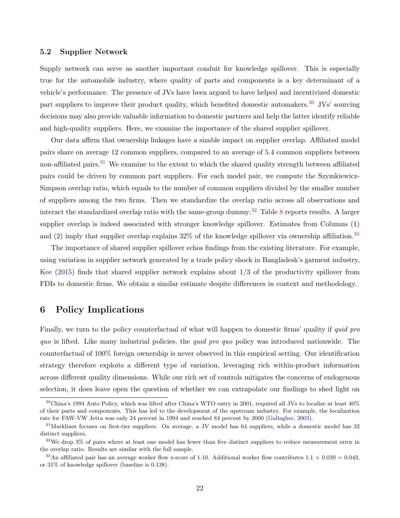#### 5.2 Supplier Network

Supply network can serve as another important conduit for knowledge spillover. This is especially true for the automobile industry, where quality of parts and components is a key determinant of a vehicle's performance. The presence of JVs have been argued to have helped and incentivized domestic part suppliers to improve their product quality, which benefited domestic automakers.<sup>[30](#page-23-1)</sup> JVs' sourcing decisions may also provide valuable information to domestic partners and help the latter identify reliable and high-quality suppliers. Here, we examine the importance of the shared supplier spillover.

Our data affirm that ownership linkages have a sizable impact on supplier overlap. Affiliated model pairs share on average 12 common suppliers, compared to an average of 5.4 common suppliers between non-affiliated pairs.<sup>[31](#page-23-2)</sup> We examine to the extent to which the shared quality strength between affiliated pairs could be driven by common part suppliers. For each model pair, we compute the Szymkiewicz-Simpson overlap ratio, which equals to the number of common suppliers divided by the smaller number of suppliers among the two firms. Then we standardize the overlap ratio across all observations and interact the standardized overlap ratio with the same-group dummy.<sup>[32](#page-23-3)</sup> Table [8](#page-44-0) reports results. A larger supplier overlap is indeed associated with stronger knowledge spillover. Estimates from Columns (1) and (2) imply that supplier overlap explains  $32\%$  of the knowledge spillover via ownership affiliation.<sup>[33](#page-23-4)</sup>

The importance of shared supplier spillover echos findings from the existing literature. For example, using variation in supplier network generated by a trade policy shock in Bangladesh's garment industry, [Kee](#page-30-1) [\(2015\)](#page-30-1) finds that shared supplier network explains about 1/3 of the productivity spillover from FDIs to domestic firms. We obtain a similar estimate despite differences in context and methodology.

# <span id="page-23-0"></span>6 Policy Implications

Finally, we turn to the policy counterfactual of what will happen to domestic firms' quality if *quid pro* quo is lifted. Like many industrial policies, the *quid pro quo* policy was introduced nationwide. The counterfactual of 100% foreign ownership is never observed in this empirical setting. Our identification strategy therefore exploits a different type of variation, leveraging rich within-product information across different quality dimensions. While our rich set of controls mitigates the concerns of endogenous selection, it does leave open the question of whether we can extrapolate our findings to shed light on

<span id="page-23-1"></span><sup>30</sup>China's 1994 Auto Policy, which was lifted after China's WTO entry in 2001, required all JVs to localize at least 40% of their parts and components. This has led to the development of the upstream industry. For example, the localization rate for FAW-VW Jetta was only 24 percent in 1994 and reached 84 percent by 2000 [\(Gallagher,](#page-29-14) [2003\)](#page-29-14).

<span id="page-23-2"></span><sup>&</sup>lt;sup>31</sup>Marklines focuses on first-tier suppliers. On average, a JV model has 64 suppliers, while a domestic model has 32 distinct suppliers.

<span id="page-23-3"></span> $32\text{We drop }3\%$  of pairs where at least one model has fewer than five distinct suppliers to reduce measurement error in the overlap ratio. Results are similar with the full sample.

<span id="page-23-4"></span><sup>&</sup>lt;sup>33</sup>An affiliated pair has an average worker flow z-score of 1.10. Additional worker flow contributes  $1.1 \times 0.039 = 0.043$ , or 31% of knowledge spillover (baseline is 0.138).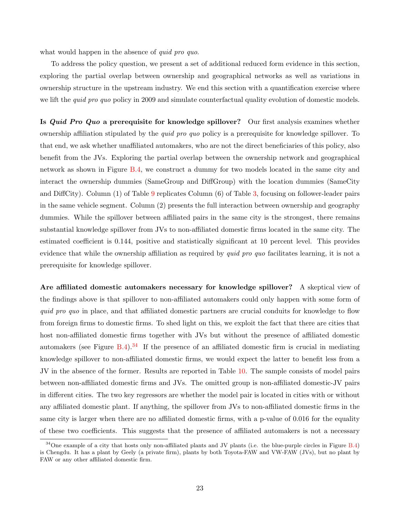what would happen in the absence of *quid pro quo*.

To address the policy question, we present a set of additional reduced form evidence in this section, exploring the partial overlap between ownership and geographical networks as well as variations in ownership structure in the upstream industry. We end this section with a quantification exercise where we lift the *quid pro quo* policy in 2009 and simulate counterfactual quality evolution of domestic models.

Is *Quid Pro Quo* a prerequisite for knowledge spillover? Our first analysis examines whether ownership affiliation stipulated by the quid pro quo policy is a prerequisite for knowledge spillover. To that end, we ask whether unaffiliated automakers, who are not the direct beneficiaries of this policy, also benefit from the JVs. Exploring the partial overlap between the ownership network and geographical network as shown in Figure [B.4,](#page-52-0) we construct a dummy for two models located in the same city and interact the ownership dummies (SameGroup and DiffGroup) with the location dummies (SameCity and DiffCity). Column (1) of Table [9](#page-45-0) replicates Column (6) of Table [3,](#page-39-0) focusing on follower-leader pairs in the same vehicle segment. Column (2) presents the full interaction between ownership and geography dummies. While the spillover between affiliated pairs in the same city is the strongest, there remains substantial knowledge spillover from JVs to non-affiliated domestic firms located in the same city. The estimated coefficient is 0.144, positive and statistically significant at 10 percent level. This provides evidence that while the ownership affiliation as required by *quid pro quo* facilitates learning, it is not a prerequisite for knowledge spillover.

Are affiliated domestic automakers necessary for knowledge spillover? A skeptical view of the findings above is that spillover to non-affiliated automakers could only happen with some form of quid pro quo in place, and that affiliated domestic partners are crucial conduits for knowledge to flow from foreign firms to domestic firms. To shed light on this, we exploit the fact that there are cities that host non-affiliated domestic firms together with JVs but without the presence of affiliated domestic automakers (see Figure [B.4\)](#page-52-0).<sup>[34](#page-24-0)</sup> If the presence of an affiliated domestic firm is crucial in mediating knowledge spillover to non-affiliated domestic firms, we would expect the latter to benefit less from a JV in the absence of the former. Results are reported in Table [10.](#page-46-0) The sample consists of model pairs between non-affiliated domestic firms and JVs. The omitted group is non-affiliated domestic-JV pairs in different cities. The two key regressors are whether the model pair is located in cities with or without any affiliated domestic plant. If anything, the spillover from JVs to non-affiliated domestic firms in the same city is larger when there are no affiliated domestic firms, with a p-value of 0.016 for the equality of these two coefficients. This suggests that the presence of affiliated automakers is not a necessary

<span id="page-24-0"></span> $34$ One example of a city that hosts only non-affiliated plants and JV plants (i.e. the blue-purple circles in Figure [B.4\)](#page-52-0) is Chengdu. It has a plant by Geely (a private firm), plants by both Toyota-FAW and VW-FAW (JVs), but no plant by FAW or any other affiliated domestic firm.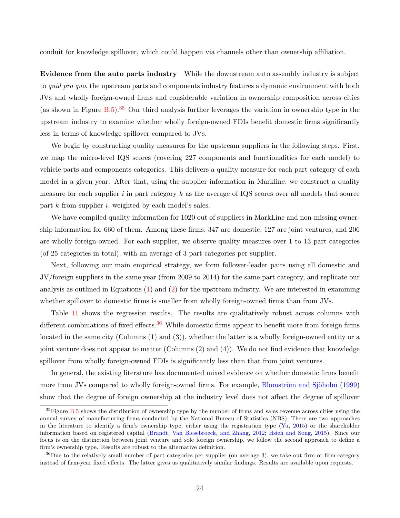conduit for knowledge spillover, which could happen via channels other than ownership affiliation.

Evidence from the auto parts industry While the downstream auto assembly industry is subject to *quid pro quo*, the upstream parts and components industry features a dynamic environment with both JVs and wholly foreign-owned firms and considerable variation in ownership composition across cities (as shown in Figure  $B.5$ ).<sup>[35](#page-25-0)</sup> Our third analysis further leverages the variation in ownership type in the upstream industry to examine whether wholly foreign-owned FDIs benefit domestic firms significantly less in terms of knowledge spillover compared to JVs.

We begin by constructing quality measures for the upstream suppliers in the following steps. First, we map the micro-level IQS scores (covering 227 components and functionalities for each model) to vehicle parts and components categories. This delivers a quality measure for each part category of each model in a given year. After that, using the supplier information in Markline, we construct a quality measure for each supplier  $i$  in part category  $k$  as the average of IQS scores over all models that source part  $k$  from supplier  $i$ , weighted by each model's sales.

We have compiled quality information for 1020 out of suppliers in MarkLine and non-missing ownership information for 660 of them. Among these firms, 347 are domestic, 127 are joint ventures, and 206 are wholly foreign-owned. For each supplier, we observe quality measures over 1 to 13 part categories (of 25 categories in total), with an average of 3 part categories per supplier.

Next, following our main empirical strategy, we form follower-leader pairs using all domestic and JV/foreign suppliers in the same year (from 2009 to 2014) for the same part category, and replicate our analysis as outlined in Equations [\(1\)](#page-14-1) and [\(2\)](#page-15-0) for the upstream industry. We are interested in examining whether spillover to domestic firms is smaller from wholly foreign-owned firms than from JVs.

Table [11](#page-47-0) shows the regression results. The results are qualitatively robust across columns with different combinations of fixed effects.<sup>[36](#page-25-1)</sup> While domestic firms appear to benefit more from foreign firms located in the same city (Columns (1) and (3)), whether the latter is a wholly foreign-owned entity or a joint venture does not appear to matter (Columns (2) and (4)). We do not find evidence that knowledge spillover from wholly foreign-owned FDIs is significantly less than that from joint ventures.

In general, the existing literature has documented mixed evidence on whether domestic firms benefit more from JVs compared to wholly foreign-owned firms. For example, Blomström and Sjöholm [\(1999\)](#page-28-6) show that the degree of foreign ownership at the industry level does not affect the degree of spillover

<span id="page-25-0"></span> $35$  Figure [B.5](#page-53-0) shows the distribution of ownership type by the number of firms and sales revenue across cities using the annual survey of manufacturing firms conducted by the National Bureau of Statistics (NBS). There are two approaches in the literature to identify a firm's ownership type, either using the registration type [\(Yu,](#page-31-8) [2015\)](#page-31-8) or the shareholder information based on registered capital [\(Brandt, Van Biesebroeck, and Zhang,](#page-28-14) [2012;](#page-28-14) [Hsieh and Song,](#page-29-15) [2015\)](#page-29-15). Since our focus is on the distinction between joint venture and sole foreign ownership, we follow the second approach to define a firm's ownership type. Results are robust to the alternative definition.

<span id="page-25-1"></span> $36$ Due to the relatively small number of part categories per supplier (on average 3), we take out firm or firm-category instead of firm-year fixed effects. The latter gives us qualitatively similar findings. Results are available upon requests.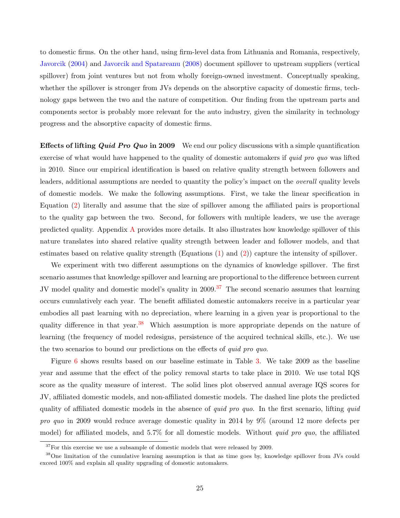to domestic firms. On the other hand, using firm-level data from Lithuania and Romania, respectively, [Javorcik](#page-30-4) [\(2004\)](#page-30-4) and [Javorcik and Spatareanu](#page-30-5) [\(2008\)](#page-30-5) document spillover to upstream suppliers (vertical spillover) from joint ventures but not from wholly foreign-owned investment. Conceptually speaking, whether the spillover is stronger from JVs depends on the absorptive capacity of domestic firms, technology gaps between the two and the nature of competition. Our finding from the upstream parts and components sector is probably more relevant for the auto industry, given the similarity in technology progress and the absorptive capacity of domestic firms.

**Effects of lifting Quid Pro Quo in 2009** We end our policy discussions with a simple quantification exercise of what would have happened to the quality of domestic automakers if *quid pro quo* was lifted in 2010. Since our empirical identification is based on relative quality strength between followers and leaders, additional assumptions are needed to quantity the policy's impact on the overall quality levels of domestic models. We make the following assumptions. First, we take the linear specification in Equation [\(2\)](#page-15-0) literally and assume that the size of spillover among the affiliated pairs is proportional to the quality gap between the two. Second, for followers with multiple leaders, we use the average predicted quality. Appendix [A](#page-48-0) provides more details. It also illustrates how knowledge spillover of this nature translates into shared relative quality strength between leader and follower models, and that estimates based on relative quality strength (Equations [\(1\)](#page-14-1) and [\(2\)](#page-15-0)) capture the intensity of spillover.

We experiment with two different assumptions on the dynamics of knowledge spillover. The first scenario assumes that knowledge spillover and learning are proportional to the difference between current JV model quality and domestic model's quality in 2009.<sup>[37](#page-26-0)</sup> The second scenario assumes that learning occurs cumulatively each year. The benefit affiliated domestic automakers receive in a particular year embodies all past learning with no depreciation, where learning in a given year is proportional to the quality difference in that year.<sup>[38](#page-26-1)</sup> Which assumption is more appropriate depends on the nature of learning (the frequency of model redesigns, persistence of the acquired technical skills, etc.). We use the two scenarios to bound our predictions on the effects of quid pro quo.

Figure [6](#page-36-0) shows results based on our baseline estimate in Table [3.](#page-39-0) We take 2009 as the baseline year and assume that the effect of the policy removal starts to take place in 2010. We use total IQS score as the quality measure of interest. The solid lines plot observed annual average IQS scores for JV, affiliated domestic models, and non-affiliated domestic models. The dashed line plots the predicted quality of affiliated domestic models in the absence of *quid pro quo*. In the first scenario, lifting *quid* pro quo in 2009 would reduce average domestic quality in 2014 by 9% (around 12 more defects per model) for affiliated models, and  $5.7\%$  for all domestic models. Without *quid pro quo*, the affiliated

<span id="page-26-1"></span><span id="page-26-0"></span> $37$  For this exercise we use a subsample of domestic models that were released by 2009.

<sup>38</sup>One limitation of the cumulative learning assumption is that as time goes by, knowledge spillover from JVs could exceed 100% and explain all quality upgrading of domestic automakers.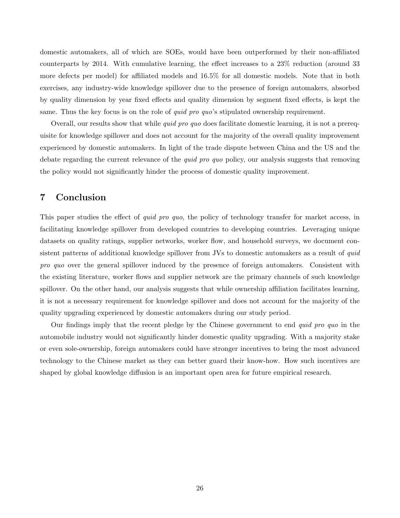domestic automakers, all of which are SOEs, would have been outperformed by their non-affiliated counterparts by 2014. With cumulative learning, the effect increases to a 23% reduction (around 33 more defects per model) for affiliated models and 16.5% for all domestic models. Note that in both exercises, any industry-wide knowledge spillover due to the presence of foreign automakers, absorbed by quality dimension by year fixed effects and quality dimension by segment fixed effects, is kept the same. Thus the key focus is on the role of *quid pro quo*'s stipulated ownership requirement.

Overall, our results show that while *quid pro quo* does facilitate domestic learning, it is not a prerequisite for knowledge spillover and does not account for the majority of the overall quality improvement experienced by domestic automakers. In light of the trade dispute between China and the US and the debate regarding the current relevance of the *quid pro quo* policy, our analysis suggests that removing the policy would not significantly hinder the process of domestic quality improvement.

# <span id="page-27-0"></span>7 Conclusion

This paper studies the effect of *quid pro quo*, the policy of technology transfer for market access, in facilitating knowledge spillover from developed countries to developing countries. Leveraging unique datasets on quality ratings, supplier networks, worker flow, and household surveys, we document consistent patterns of additional knowledge spillover from JVs to domestic automakers as a result of *quid* pro quo over the general spillover induced by the presence of foreign automakers. Consistent with the existing literature, worker flows and supplier network are the primary channels of such knowledge spillover. On the other hand, our analysis suggests that while ownership affiliation facilitates learning, it is not a necessary requirement for knowledge spillover and does not account for the majority of the quality upgrading experienced by domestic automakers during our study period.

Our findings imply that the recent pledge by the Chinese government to end quid pro quo in the automobile industry would not significantly hinder domestic quality upgrading. With a majority stake or even sole-ownership, foreign automakers could have stronger incentives to bring the most advanced technology to the Chinese market as they can better guard their know-how. How such incentives are shaped by global knowledge diffusion is an important open area for future empirical research.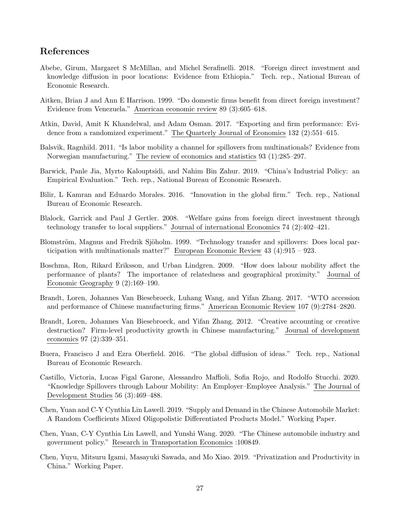# <span id="page-28-15"></span>References

- <span id="page-28-8"></span>Abebe, Girum, Margaret S McMillan, and Michel Serafinelli. 2018. "Foreign direct investment and knowledge diffusion in poor locations: Evidence from Ethiopia." Tech. rep., National Bureau of Economic Research.
- <span id="page-28-7"></span>Aitken, Brian J and Ann E Harrison. 1999. "Do domestic firms benefit from direct foreign investment? Evidence from Venezuela." American economic review 89 (3):605–618.
- <span id="page-28-9"></span>Atkin, David, Amit K Khandelwal, and Adam Osman. 2017. "Exporting and firm performance: Evidence from a randomized experiment." The Quarterly Journal of Economics 132 (2):551–615.
- <span id="page-28-2"></span>Balsvik, Ragnhild. 2011. "Is labor mobility a channel for spillovers from multinationals? Evidence from Norwegian manufacturing." The review of economics and statistics 93 (1):285–297.
- <span id="page-28-12"></span>Barwick, Panle Jia, Myrto Kalouptsidi, and Nahim Bin Zahur. 2019. "China's Industrial Policy: an Empirical Evaluation." Tech. rep., National Bureau of Economic Research.
- <span id="page-28-5"></span>Bilir, L Kamran and Eduardo Morales. 2016. "Innovation in the global firm." Tech. rep., National Bureau of Economic Research.
- <span id="page-28-3"></span>Blalock, Garrick and Paul J Gertler. 2008. "Welfare gains from foreign direct investment through technology transfer to local suppliers." Journal of international Economics 74 (2):402–421.
- <span id="page-28-6"></span>Blomström, Magnus and Fredrik Sjöholm. 1999. "Technology transfer and spillovers: Does local participation with multinationals matter?" European Economic Review 43 (4):915 – 923.
- <span id="page-28-1"></span>Boschma, Ron, Rikard Eriksson, and Urban Lindgren. 2009. "How does labour mobility affect the performance of plants? The importance of relatedness and geographical proximity." Journal of Economic Geography 9 (2):169–190.
- <span id="page-28-13"></span>Brandt, Loren, Johannes Van Biesebroeck, Luhang Wang, and Yifan Zhang. 2017. "WTO accession and performance of Chinese manufacturing firms." American Economic Review 107 (9):2784–2820.
- <span id="page-28-14"></span>Brandt, Loren, Johannes Van Biesebroeck, and Yifan Zhang. 2012. "Creative accounting or creative destruction? Firm-level productivity growth in Chinese manufacturing." Journal of development economics 97 (2):339–351.
- <span id="page-28-4"></span>Buera, Francisco J and Ezra Oberfield. 2016. "The global diffusion of ideas." Tech. rep., National Bureau of Economic Research.
- <span id="page-28-0"></span>Castillo, Victoria, Lucas Figal Garone, Alessandro Maffioli, Sofia Rojo, and Rodolfo Stucchi. 2020. "Knowledge Spillovers through Labour Mobility: An Employer–Employee Analysis." The Journal of Development Studies 56 (3):469–488.
- <span id="page-28-10"></span>Chen, Yuan and C-Y Cynthia Lin Lawell. 2019. "Supply and Demand in the Chinese Automobile Market: A Random Coefficients Mixed Oligopolistic Differentiated Products Model." Working Paper.
- Chen, Yuan, C-Y Cynthia Lin Lawell, and Yunshi Wang. 2020. "The Chinese automobile industry and government policy." Research in Transportation Economics :100849.
- <span id="page-28-11"></span>Chen, Yuyu, Mitsuru Igami, Masayuki Sawada, and Mo Xiao. 2019. "Privatization and Productivity in China." Working Paper.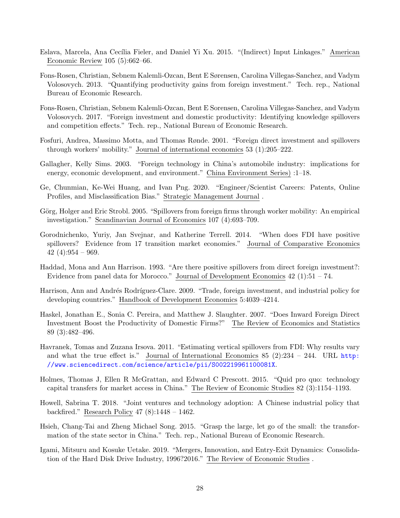- <span id="page-29-6"></span>Eslava, Marcela, Ana Cecília Fieler, and Daniel Yi Xu. 2015. "(Indirect) Input Linkages." American Economic Review 105 (5):662–66.
- <span id="page-29-7"></span>Fons-Rosen, Christian, Sebnem Kalemli-Ozcan, Bent E Sørensen, Carolina Villegas-Sanchez, and Vadym Volosovych. 2013. "Quantifying productivity gains from foreign investment." Tech. rep., National Bureau of Economic Research.
- <span id="page-29-10"></span>Fons-Rosen, Christian, Sebnem Kalemli-Ozcan, Bent E Sorensen, Carolina Villegas-Sanchez, and Vadym Volosovych. 2017. "Foreign investment and domestic productivity: Identifying knowledge spillovers and competition effects." Tech. rep., National Bureau of Economic Research.
- <span id="page-29-3"></span>Fosfuri, Andrea, Massimo Motta, and Thomas Rønde. 2001. "Foreign direct investment and spillovers through workers' mobility." Journal of international economics 53 (1):205–222.
- <span id="page-29-14"></span>Gallagher, Kelly Sims. 2003. "Foreign technology in China's automobile industry: implications for energy, economic development, and environment." China Environment Series) :1–18.
- <span id="page-29-13"></span>Ge, Chunmian, Ke-Wei Huang, and Ivan Png. 2020. "Engineer/Scientist Careers: Patents, Online Profiles, and Misclassification Bias." Strategic Management Journal .
- <span id="page-29-2"></span>Görg, Holger and Eric Strobl. 2005. "Spillovers from foreign firms through worker mobility: An empirical investigation." Scandinavian Journal of Economics 107 (4):693–709.
- <span id="page-29-5"></span>Gorodnichenko, Yuriy, Jan Svejnar, and Katherine Terrell. 2014. "When does FDI have positive spillovers? Evidence from 17 transition market economies." Journal of Comparative Economics 42 (4):954 – 969.
- <span id="page-29-8"></span>Haddad, Mona and Ann Harrison. 1993. "Are there positive spillovers from direct foreign investment?: Evidence from panel data for Morocco." Journal of Development Economics 42 (1):51 – 74.
- <span id="page-29-1"></span>Harrison, Ann and Andrés Rodríguez-Clare. 2009. "Trade, foreign investment, and industrial policy for developing countries." Handbook of Development Economics 5:4039–4214.
- <span id="page-29-9"></span>Haskel, Jonathan E., Sonia C. Pereira, and Matthew J. Slaughter. 2007. "Does Inward Foreign Direct Investment Boost the Productivity of Domestic Firms?" The Review of Economics and Statistics 89 (3):482–496.
- <span id="page-29-4"></span>Havranek, Tomas and Zuzana Irsova. 2011. "Estimating vertical spillovers from FDI: Why results vary and what the true effect is." Journal of International Economics 85  $(2):234 - 244$ . URL [http:](http://www.sciencedirect.com/science/article/pii/S002219961100081X) [//www.sciencedirect.com/science/article/pii/S002219961100081X](http://www.sciencedirect.com/science/article/pii/S002219961100081X).
- <span id="page-29-0"></span>Holmes, Thomas J, Ellen R McGrattan, and Edward C Prescott. 2015. "Quid pro quo: technology capital transfers for market access in China." The Review of Economic Studies 82 (3):1154–1193.
- <span id="page-29-12"></span>Howell, Sabrina T. 2018. "Joint ventures and technology adoption: A Chinese industrial policy that backfired." Research Policy 47 (8):1448 – 1462.
- <span id="page-29-15"></span>Hsieh, Chang-Tai and Zheng Michael Song. 2015. "Grasp the large, let go of the small: the transformation of the state sector in China." Tech. rep., National Bureau of Economic Research.
- <span id="page-29-11"></span>Igami, Mitsuru and Kosuke Uetake. 2019. "Mergers, Innovation, and Entry-Exit Dynamics: Consolidation of the Hard Disk Drive Industry, 1996?2016." The Review of Economic Studies .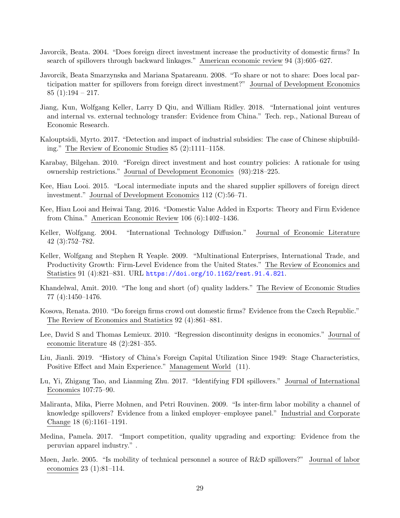- <span id="page-30-4"></span>Javorcik, Beata. 2004. "Does foreign direct investment increase the productivity of domestic firms? In search of spillovers through backward linkages." American economic review 94 (3):605–627.
- <span id="page-30-5"></span>Javorcik, Beata Smarzynska and Mariana Spatareanu. 2008. "To share or not to share: Does local participation matter for spillovers from foreign direct investment?" Journal of Development Economics 85  $(1):194 - 217$ .
- <span id="page-30-13"></span>Jiang, Kun, Wolfgang Keller, Larry D Qiu, and William Ridley. 2018. "International joint ventures and internal vs. external technology transfer: Evidence from China." Tech. rep., National Bureau of Economic Research.
- <span id="page-30-12"></span>Kalouptsidi, Myrto. 2017. "Detection and impact of industrial subsidies: The case of Chinese shipbuilding." The Review of Economic Studies 85 (2):1111–1158.
- <span id="page-30-0"></span>Karabay, Bilgehan. 2010. "Foreign direct investment and host country policies: A rationale for using ownership restrictions." Journal of Development Economics (93):218–225.
- <span id="page-30-1"></span>Kee, Hiau Looi. 2015. "Local intermediate inputs and the shared supplier spillovers of foreign direct investment." Journal of Development Economics 112 (C):56–71.
- <span id="page-30-6"></span>Kee, Hiau Looi and Heiwai Tang. 2016. "Domestic Value Added in Exports: Theory and Firm Evidence from China." American Economic Review 106 (6):1402–1436.
- <span id="page-30-15"></span>Keller, Wolfgang. 2004. "International Technology Diffusion." Journal of Economic Literature 42 (3):752–782.
- <span id="page-30-7"></span>Keller, Wolfgang and Stephen R Yeaple. 2009. "Multinational Enterprises, International Trade, and Productivity Growth: Firm-Level Evidence from the United States." The Review of Economics and Statistics 91 (4):821–831. URL <https://doi.org/10.1162/rest.91.4.821>.
- <span id="page-30-10"></span>Khandelwal, Amit. 2010. "The long and short (of) quality ladders." The Review of Economic Studies 77 (4):1450–1476.
- <span id="page-30-8"></span>Kosova, Renata. 2010. "Do foreign firms crowd out domestic firms? Evidence from the Czech Republic." The Review of Economics and Statistics 92 (4):861–881.
- <span id="page-30-14"></span>Lee, David S and Thomas Lemieux. 2010. "Regression discontinuity designs in economics." Journal of economic literature 48 (2):281–355.
- <span id="page-30-16"></span>Liu, Jianli. 2019. "History of China's Foreign Capital Utilization Since 1949: Stage Characteristics, Positive Effect and Main Experience." Management World (11).
- <span id="page-30-9"></span>Lu, Yi, Zhigang Tao, and Lianming Zhu. 2017. "Identifying FDI spillovers." Journal of International Economics 107:75–90.
- <span id="page-30-2"></span>Maliranta, Mika, Pierre Mohnen, and Petri Rouvinen. 2009. "Is inter-firm labor mobility a channel of knowledge spillovers? Evidence from a linked employer–employee panel." Industrial and Corporate Change 18 (6):1161–1191.
- <span id="page-30-11"></span>Medina, Pamela. 2017. "Import competition, quality upgrading and exporting: Evidence from the peruvian apparel industry." .
- <span id="page-30-3"></span>Møen, Jarle. 2005. "Is mobility of technical personnel a source of R&D spillovers?" Journal of labor economics 23 (1):81–114.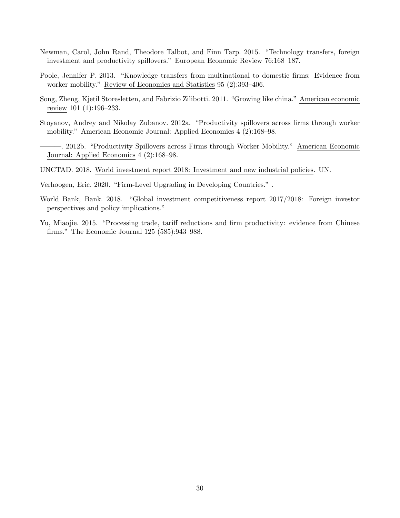- <span id="page-31-5"></span>Newman, Carol, John Rand, Theodore Talbot, and Finn Tarp. 2015. "Technology transfers, foreign investment and productivity spillovers." European Economic Review 76:168–187.
- <span id="page-31-4"></span>Poole, Jennifer P. 2013. "Knowledge transfers from multinational to domestic firms: Evidence from worker mobility." Review of Economics and Statistics 95 (2):393–406.
- <span id="page-31-6"></span>Song, Zheng, Kjetil Storesletten, and Fabrizio Zilibotti. 2011. "Growing like china." American economic review 101 (1):196–233.
- <span id="page-31-3"></span>Stoyanov, Andrey and Nikolay Zubanov. 2012a. "Productivity spillovers across firms through worker mobility." American Economic Journal: Applied Economics 4 (2):168–98.
- <span id="page-31-7"></span>———. 2012b. "Productivity Spillovers across Firms through Worker Mobility." American Economic Journal: Applied Economics 4 (2):168–98.
- <span id="page-31-0"></span>UNCTAD. 2018. World investment report 2018: Investment and new industrial policies. UN.
- <span id="page-31-2"></span>Verhoogen, Eric. 2020. "Firm-Level Upgrading in Developing Countries." .
- <span id="page-31-1"></span>World Bank, Bank. 2018. "Global investment competitiveness report 2017/2018: Foreign investor perspectives and policy implications."
- <span id="page-31-8"></span>Yu, Miaojie. 2015. "Processing trade, tariff reductions and firm productivity: evidence from Chinese firms." The Economic Journal 125 (585):943–988.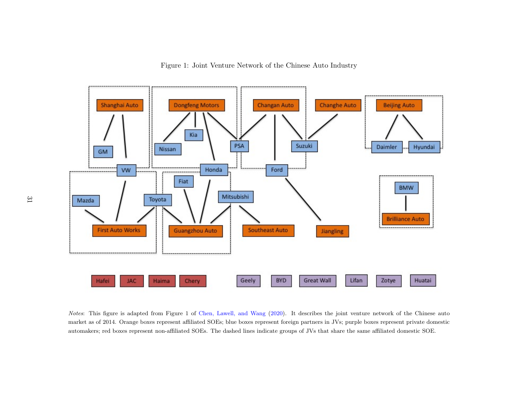



<span id="page-32-0"></span>Notes: This figure is adapted from Figure <sup>1</sup> of Chen, [Lawell,](#page-28-15) and Wang [\(2020\)](#page-28-15). It describes the joint venture network of the Chinese auto market as of 2014. Orange boxes represent affiliated SOEs; blue boxes represent foreign partners in JVs; purple boxes represent private domesticautomakers; red boxes represent non-affiliated SOEs. The dashed lines indicate groups of JVs that share the same affiliated domestic SOE.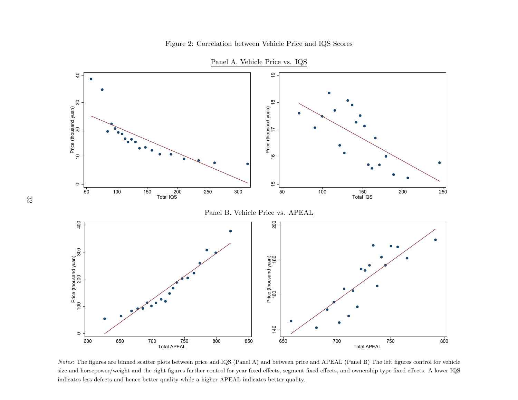

Panel A. Vehicle Price vs. IQS

<span id="page-33-0"></span> $^{750}$  700 750 800 850<br>  $^{750}$  701 701 750 800 850<br>  $^{750}$  701 701 750 800 850<br>  $^{750}$  701 750 800 850<br>  $^{750}$  761 800 850<br>  $^{750}$  761 800 850<br>  $^{750}$  761 800 850<br>  $^{750}$  761  $^{750}$  800 850<br>  $^{750}$  761  $^{750}$  8 700 700 761al APEAL 750 800<br>
700 701al APEAL 750 800<br>
701al APEAL 750 800<br>
701al APEAL 750 800<br>
701al APEAL 750<br>
701al APEAL 750<br>
701al figures control for ve<br>
91ality. Notes: The figures are binned scatter plots between price and IQS (Panel A) and between price and APEAL (Panel B) The left figures control for vehicle size and horsepower/weight and the right figures further control for year fixed effects, segment fixed effects, and ownership type fixed effects. A lower IQSindicates less defects and hence better quality while <sup>a</sup> higher APEAL indicates better quality.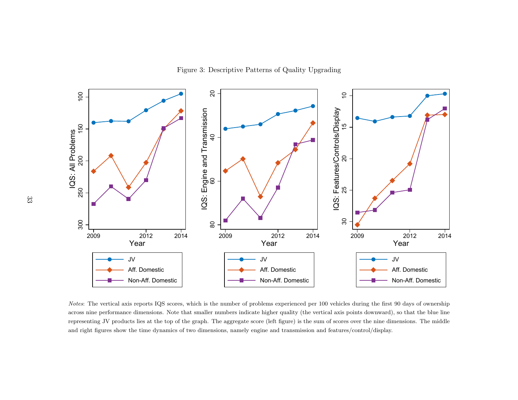Figure 3: Descriptive Patterns of Quality Upgrading



<span id="page-34-0"></span>Notes: The vertical axis reports IQS scores, which is the number of problems experienced per 100 vehicles during the first 90 days of ownership across nine performance dimensions. Note that smaller numbers indicate higher across nine performance dimensions. Note that smaller numbers indicate higher quality (the vertical axis points downward), so that the blue linerepresenting JV products lies at the top of the graph. The aggregate score (left figure) is the sum of scores over the nine dimensions. The middleand right figures show the time dynamics of two dimensions, namely engine and transmission and features/control/display.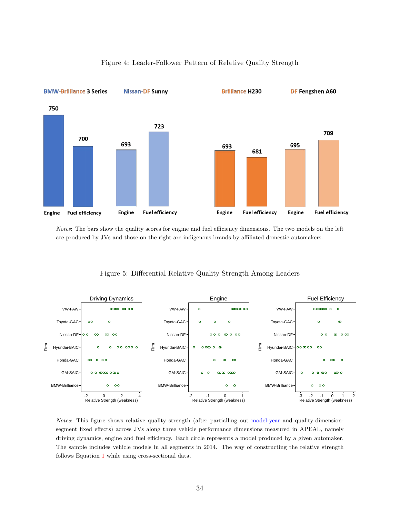<span id="page-35-0"></span>

### Figure 4: Leader-Follower Pattern of Relative Quality Strength

Notes: The bars show the quality scores for engine and fuel efficiency dimensions. The two models on the left are produced by JVs and those on the right are indigenous brands by affiliated domestic automakers.

#### Figure 5: Differential Relative Quality Strength Among Leaders

<span id="page-35-1"></span>

Notes: This figure shows relative quality strength (after partialling out model-year and quality-dimensionsegment fixed effects) across JVs along three vehicle performance dimensions measured in APEAL, namely driving dynamics, engine and fuel efficiency. Each circle represents a model produced by a given automaker. The sample includes vehicle models in all segments in 2014. The way of constructing the relative strength follows Equation [1](#page-14-1) while using cross-sectional data.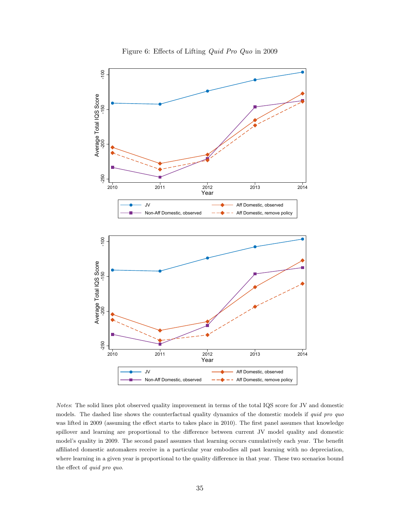<span id="page-36-0"></span>

Notes: The solid lines plot observed quality improvement in terms of the total IQS score for JV and domestic models. The dashed line shows the counterfactual quality dynamics of the domestic models if quid pro quo was lifted in 2009 (assuming the effect starts to takes place in 2010). The first panel assumes that knowledge spillover and learning are proportional to the difference between current JV model quality and domestic model's quality in 2009. The second panel assumes that learning occurs cumulatively each year. The benefit affiliated domestic automakers receive in a particular year embodies all past learning with no depreciation, where learning in a given year is proportional to the quality difference in that year. These two scenarios bound the effect of quid pro quo.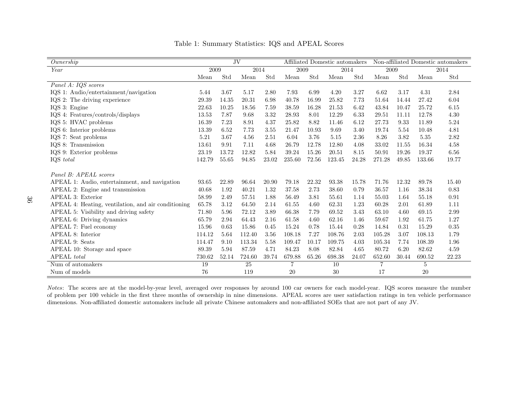| Ownership                                           |        | JV    |        |       |        |       | Affiliated Domestic automakers |       |        |       |        | Non-affiliated Domestic automakers |
|-----------------------------------------------------|--------|-------|--------|-------|--------|-------|--------------------------------|-------|--------|-------|--------|------------------------------------|
| Year                                                | 2009   |       | 2014   |       | 2009   |       | 2014                           |       | 2009   |       |        | 2014                               |
|                                                     | Mean   | Std   | Mean   | Std   | Mean   | Std   | Mean                           | Std   | Mean   | Std   | Mean   | Std                                |
| Panel A: IQS scores                                 |        |       |        |       |        |       |                                |       |        |       |        |                                    |
| IQS 1: Audio/entertainment/navigation               | 5.44   | 3.67  | 5.17   | 2.80  | 7.93   | 6.99  | 4.20                           | 3.27  | 6.62   | 3.17  | 4.31   | 2.84                               |
| IQS 2: The driving experience                       | 29.39  | 14.35 | 20.31  | 6.98  | 40.78  | 16.99 | 25.82                          | 7.73  | 51.64  | 14.44 | 27.42  | 6.04                               |
| IQS 3: Engine                                       | 22.63  | 10.25 | 18.56  | 7.59  | 38.59  | 16.28 | 21.53                          | 6.42  | 43.84  | 10.47 | 25.72  | 6.15                               |
| IQS 4: Features/controls/displays                   | 13.53  | 7.87  | 9.68   | 3.32  | 28.93  | 8.01  | 12.29                          | 6.33  | 29.51  | 11.11 | 12.78  | 4.30                               |
| IQS 5: HVAC problems                                | 16.39  | 7.23  | 8.91   | 4.37  | 25.82  | 8.82  | 11.46                          | 6.12  | 27.73  | 9.33  | 11.89  | 5.24                               |
| IQS 6: Interior problems                            | 13.39  | 6.52  | 7.73   | 3.55  | 21.47  | 10.93 | 9.69                           | 3.40  | 19.74  | 5.54  | 10.48  | 4.81                               |
| IQS 7: Seat problems                                | 5.21   | 3.67  | 4.56   | 2.51  | 6.04   | 3.76  | 5.15                           | 2.36  | 8.26   | 3.82  | 5.35   | 2.82                               |
| IQS 8: Transmission                                 | 13.61  | 9.91  | 7.11   | 4.68  | 26.79  | 12.78 | 12.80                          | 4.08  | 33.02  | 11.55 | 16.34  | 4.58                               |
| IQS 9: Exterior problems                            | 23.19  | 13.72 | 12.82  | 5.84  | 39.24  | 15.26 | 20.51                          | 8.15  | 50.91  | 19.26 | 19.37  | $6.56\,$                           |
| IQS total                                           | 142.79 | 55.65 | 94.85  | 23.02 | 235.60 | 72.56 | 123.45                         | 24.28 | 271.28 | 49.85 | 133.66 | 19.77                              |
|                                                     |        |       |        |       |        |       |                                |       |        |       |        |                                    |
| Panel B: APEAL scores                               |        |       |        |       |        |       |                                |       |        |       |        |                                    |
| APEAL 1: Audio, entertainment, and navigation       | 93.65  | 22.89 | 96.64  | 20.90 | 79.18  | 22.32 | 93.38                          | 15.78 | 71.76  | 12.32 | 89.78  | 15.40                              |
| APEAL 2: Engine and transmission                    | 40.68  | 1.92  | 40.21  | 1.32  | 37.58  | 2.73  | 38.60                          | 0.79  | 36.57  | 1.16  | 38.34  | 0.83                               |
| APEAL 3: Exterior                                   | 58.99  | 2.49  | 57.51  | 1.88  | 56.49  | 3.81  | 55.61                          | 1.14  | 55.03  | 1.64  | 55.18  | 0.91                               |
| APEAL 4: Heating, ventilation, and air conditioning | 65.78  | 3.12  | 64.50  | 2.14  | 61.55  | 4.60  | 62.31                          | 1.23  | 60.28  | 2.01  | 61.89  | 1.11                               |
| APEAL 5: Visibility and driving safety              | 71.80  | 5.96  | 72.12  | 3.89  | 66.38  | 7.79  | 69.52                          | 3.43  | 63.10  | 4.60  | 69.15  | 2.99                               |
| APEAL 6: Driving dynamics                           | 65.79  | 2.94  | 64.43  | 2.16  | 61.58  | 4.60  | 62.16                          | 1.46  | 59.67  | 1.92  | 61.75  | 1.27                               |
| APEAL 7: Fuel economy                               | 15.96  | 0.63  | 15.86  | 0.45  | 15.24  | 0.78  | 15.44                          | 0.28  | 14.84  | 0.31  | 15.29  | 0.35                               |
| APEAL 8: Interior                                   | 114.12 | 5.64  | 112.40 | 3.56  | 108.18 | 7.27  | 108.76                         | 2.03  | 105.28 | 3.07  | 108.13 | 1.79                               |
| APEAL 9: Seats                                      | 114.47 | 9.10  | 113.34 | 5.58  | 109.47 | 10.17 | 109.75                         | 4.03  | 105.34 | 7.74  | 108.39 | 1.96                               |
| APEAL 10: Storage and space                         | 89.39  | 5.94  | 87.59  | 4.71  | 84.23  | 8.08  | 82.84                          | 4.65  | 80.72  | 6.20  | 82.62  | 4.59                               |
| APEAL total                                         | 730.62 | 52.14 | 724.60 | 39.74 | 679.88 | 65.26 | 698.38                         | 24.07 | 652.60 | 30.44 | 690.52 | 22.23                              |
| Num of automakers                                   | 19     |       | 25     |       | 7      |       | 10                             |       |        |       | 5      |                                    |
| Num of models                                       | 76     |       | 119    |       | 20     |       | 30                             |       | 17     |       | 20     |                                    |

Table 1: Summary Statistics: IQS and APEAL Scores

<span id="page-37-0"></span>Notes: The scores are at the model-by-year level, averaged over responses by around 100 car owners for each model-year. IQS scores measure the number of problem per 100 vehicle in the first three months of ownership in nine dimensions. APEAL scores are user satisfaction ratings in ten vehicle performancedimensions. Non-affiliated domestic automakers include all private Chinese automakers and non-affiliated SOEs that are not part of any JV.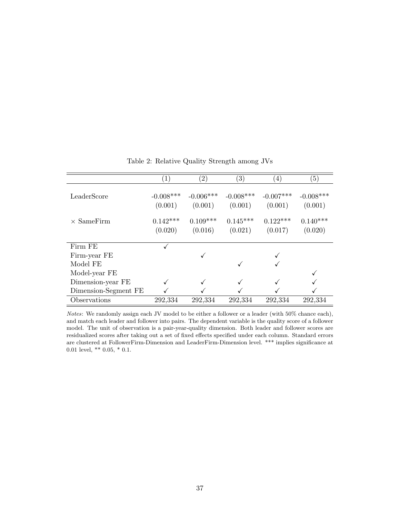<span id="page-38-0"></span>

|                      | '1,                    | $\left( 2\right)$      | $\left( 3\right)$      | (4)                    | $\left(5\right)$       |
|----------------------|------------------------|------------------------|------------------------|------------------------|------------------------|
| LeaderScore          | $-0.008***$<br>(0.001) | $-0.006***$<br>(0.001) | $-0.008***$<br>(0.001) | $-0.007***$<br>(0.001) | $-0.008***$<br>(0.001) |
| $\times$ SameFirm    | $0.142***$             | $0.109***$             | $0.145***$             | $0.122***$             | $0.140***$             |
|                      | (0.020)                | (0.016)                | (0.021)                | (0.017)                | (0.020)                |
|                      |                        |                        |                        |                        |                        |
| Firm FE              |                        |                        |                        |                        |                        |
| Firm-year FE         |                        |                        |                        |                        |                        |
| Model FE             |                        |                        | √                      |                        |                        |
| Model-year FE        |                        |                        |                        |                        |                        |
| Dimension-year FE    |                        |                        |                        |                        |                        |
| Dimension-Segment FE |                        |                        |                        |                        |                        |
| Observations         | 292,334                | 292,334                | 292,334                | 292,334                | 292,334                |

Table 2: Relative Quality Strength among JVs

Notes: We randomly assign each JV model to be either a follower or a leader (with 50% chance each), and match each leader and follower into pairs. The dependent variable is the quality score of a follower model. The unit of observation is a pair-year-quality dimension. Both leader and follower scores are residualized scores after taking out a set of fixed effects specified under each column. Standard errors are clustered at FollowerFirm-Dimension and LeaderFirm-Dimension level. \*\*\* implies significance at 0.01 level, \*\* 0.05, \* 0.1.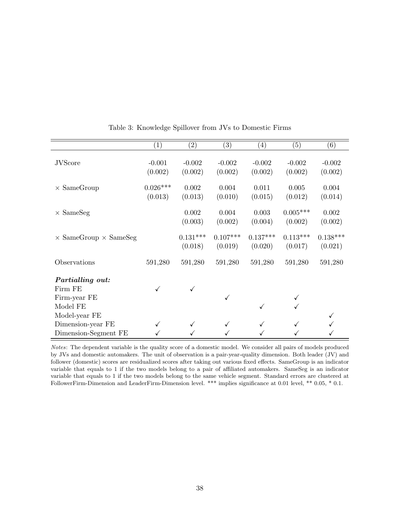<span id="page-39-0"></span>

|                                     | $\left( 1\right)$ | $\left( 2\right)$ | $\left( 3\right)$ | $\left( 4\right)$ | (5)        | (6)        |
|-------------------------------------|-------------------|-------------------|-------------------|-------------------|------------|------------|
|                                     |                   |                   |                   |                   |            |            |
| <b>JVScore</b>                      | $-0.001$          | $-0.002$          | $-0.002$          | $-0.002$          | $-0.002$   | $-0.002$   |
|                                     | (0.002)           | (0.002)           | (0.002)           | (0.002)           | (0.002)    | (0.002)    |
| $\times$ SameGroup                  | $0.026***$        | 0.002             | 0.004             | 0.011             | 0.005      | 0.004      |
|                                     | (0.013)           | (0.013)           | (0.010)           | (0.015)           | (0.012)    | (0.014)    |
| $\times$ SameSeg                    |                   | 0.002             | 0.004             | 0.003             | $0.005***$ | 0.002      |
|                                     |                   | (0.003)           | (0.002)           | (0.004)           | (0.002)    | (0.002)    |
|                                     |                   |                   |                   |                   |            |            |
| $\times$ SameGroup $\times$ SameSeg |                   | $0.131***$        | $0.107***$        | $0.137***$        | $0.113***$ | $0.138***$ |
|                                     |                   | (0.018)           | (0.019)           | (0.020)           | (0.017)    | (0.021)    |
| Observations                        | 591,280           | 591,280           | 591,280           | 591,280           | 591,280    | 591,280    |
|                                     |                   |                   |                   |                   |            |            |
| Partialling out:                    |                   |                   |                   |                   |            |            |
| Firm FE                             |                   |                   |                   |                   |            |            |
| Firm-year FE                        |                   |                   | ✓                 |                   |            |            |
| Model FE                            |                   |                   |                   | ✓                 |            |            |
| Model-year FE                       |                   |                   |                   |                   |            |            |
| Dimension-year FE                   | ✓                 |                   |                   |                   |            |            |
| Dimension-Segment FE                |                   |                   |                   |                   |            |            |

<span id="page-39-1"></span>Table 3: Knowledge Spillover from JVs to Domestic Firms

Notes: The dependent variable is the quality score of a domestic model. We consider all pairs of models produced by JVs and domestic automakers. The unit of observation is a pair-year-quality dimension. Both leader (JV) and follower (domestic) scores are residualized scores after taking out various fixed effects. SameGroup is an indicator variable that equals to 1 if the two models belong to a pair of affiliated automakers. SameSeg is an indicator variable that equals to 1 if the two models belong to the same vehicle segment. Standard errors are clustered at FollowerFirm-Dimension and LeaderFirm-Dimension level. \*\*\* implies significance at 0.01 level, \*\* 0.05, \* 0.1.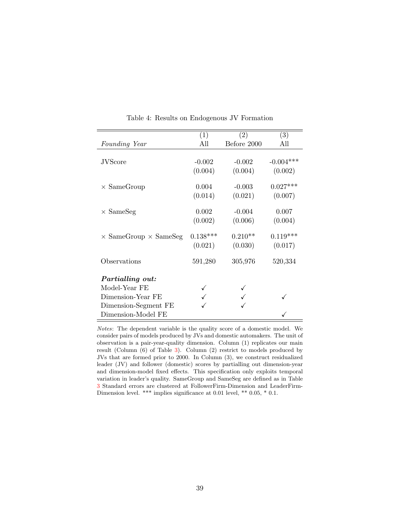<span id="page-40-0"></span>

|                                     | (1)        | (2)         | $\left( 3\right)$ |
|-------------------------------------|------------|-------------|-------------------|
| Founding Year                       | All        | Before 2000 | All               |
|                                     |            |             |                   |
| <b>JVScore</b>                      | $-0.002$   | $-0.002$    | $-0.004***$       |
|                                     | (0.004)    | (0.004)     | (0.002)           |
|                                     |            |             |                   |
| $\times$ SameGroup                  | 0.004      | $-0.003$    | $0.027***$        |
|                                     | (0.014)    | (0.021)     | (0.007)           |
| $\times$ SameSeg                    | 0.002      | $-0.004$    | 0.007             |
|                                     | (0.002)    | (0.006)     | (0.004)           |
| $\times$ SameGroup $\times$ SameSeg | $0.138***$ | $0.210**$   | $0.119***$        |
|                                     | (0.021)    | (0.030)     | (0.017)           |
| Observations                        | 591,280    | 305,976     | 520,334           |
| <i>Partialling out:</i>             |            |             |                   |
| Model-Year FE                       |            |             |                   |
| Dimension-Year FE                   |            |             |                   |
| Dimension-Segment FE                |            |             |                   |
| Dimension-Model FE                  |            |             |                   |

Table 4: Results on Endogenous JV Formation

Notes: The dependent variable is the quality score of a domestic model. We consider pairs of models produced by JVs and domestic automakers. The unit of observation is a pair-year-quality dimension. Column (1) replicates our main result (Column (6) of Table [3\)](#page-39-0). Column (2) restrict to models produced by JVs that are formed prior to 2000. In Column (3), we construct residualized leader (JV) and follower (domestic) scores by partialling out dimension-year and dimension-model fixed effects. This specification only exploits temporal variation in leader's quality. SameGroup and SameSeg are defined as in Table [3](#page-39-0) Standard errors are clustered at FollowerFirm-Dimension and LeaderFirm-Dimension level. \*\*\* implies significance at 0.01 level, \*\* 0.05, \* 0.1.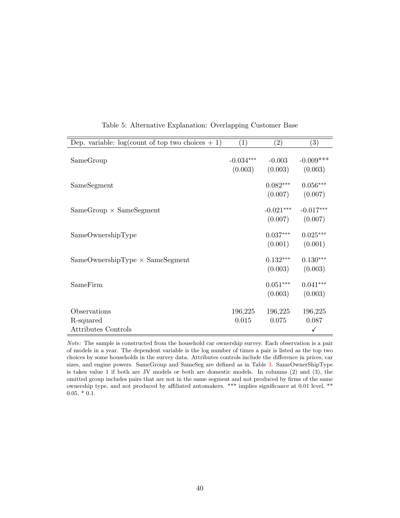<span id="page-41-0"></span>

| Dep. variable: $log(count of top two choices + 1)$      | (1)                    | $\left( 2\right)$      | (3)                              |
|---------------------------------------------------------|------------------------|------------------------|----------------------------------|
| SameGroup                                               | $-0.034***$<br>(0.003) | $-0.003$<br>(0.003)    | $-0.009***$<br>(0.003)           |
| SameSegment                                             |                        | $0.082***$<br>(0.007)  | $0.056***$<br>(0.007)            |
| $SameGroup \times SameSegment$                          |                        | $-0.021***$<br>(0.007) | $-0.017***$<br>(0.007)           |
| SameOwnershipType                                       |                        | $0.037***$<br>(0.001)  | $0.025***$<br>(0.001)            |
| $SameOwnershipType \times SameSegment$                  |                        | $0.132***$<br>(0.003)  | $0.130***$<br>(0.003)            |
| SameFirm                                                |                        | $0.051***$<br>(0.003)  | $0.041***$<br>(0.003)            |
| Observations<br>R-squared<br><b>Attributes Controls</b> | 196,225<br>0.015       | 196,225<br>0.075       | 196,225<br>0.087<br>$\checkmark$ |

Table 5: Alternative Explanation: Overlapping Customer Base

Note: The sample is constructed from the household car ownership survey. Each observation is a pair of models in a year. The dependent variable is the log number of times a pair is listed as the top two choices by some households in the survey data. Attributes controls include the difference in prices, car sizes, and engine powers. SameGroup and SameSeg are defined as in Table [3.](#page-39-0) SameOwnerShipType is takes value 1 if both are JV models or both are domestic models. In columns (2) and (3), the omitted group includes pairs that are not in the same segment and not produced by firms of the same ownership type, and not produced by affiliated automakers. \*\*\* implies significance at 0.01 level, \*\*  $0.05, *0.1.$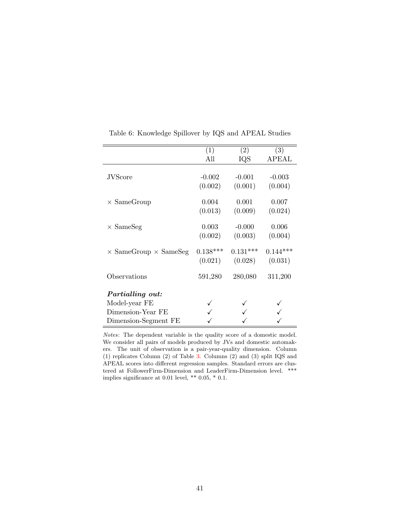<span id="page-42-0"></span>

|                                     | (1)        | (2)        | (3)        |
|-------------------------------------|------------|------------|------------|
|                                     | All        | IQS        | APEAL      |
|                                     |            |            |            |
| <b>JVScore</b>                      | $-0.002$   | $-0.001$   | $-0.003$   |
|                                     | (0.002)    | (0.001)    | (0.004)    |
| $\times$ SameGroup                  | 0.004      | 0.001      | 0.007      |
|                                     | (0.013)    | (0.009)    | (0.024)    |
|                                     |            |            |            |
| $\times$ SameSeg                    | 0.003      | $-0.000$   | 0.006      |
|                                     | (0.002)    | (0.003)    | (0.004)    |
| $\times$ SameGroup $\times$ SameSeg | $0.138***$ | $0.131***$ | $0.144***$ |
|                                     | (0.021)    | (0.028)    | (0.031)    |
|                                     |            |            |            |
| Observations                        | 591,280    | 280,080    | 311,200    |
| Partialling out:                    |            |            |            |
|                                     |            |            |            |
| Model-year FE                       |            |            |            |
| Dimension-Year FE                   |            |            |            |
| Dimension-Segment FE                |            |            |            |

Table 6: Knowledge Spillover by IQS and APEAL Studies

Notes: The dependent variable is the quality score of a domestic model. We consider all pairs of models produced by JVs and domestic automakers. The unit of observation is a pair-year-quality dimension. Column (1) replicates Column (2) of Table [3.](#page-39-0) Columns (2) and (3) split IQS and APEAL scores into different regression samples. Standard errors are clustered at FollowerFirm-Dimension and LeaderFirm-Dimension level. \*\*\* implies significance at 0.01 level, \*\* 0.05, \* 0.1.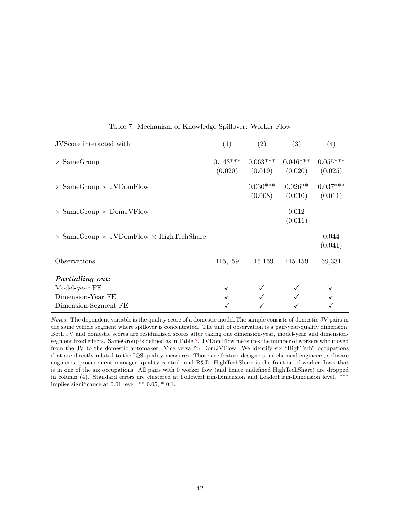<span id="page-43-0"></span>

| JVScore interacted with                                      | $\left(1\right)$      | $\left( 2\right)$     | (3)                   | $\left( 4\right)$     |
|--------------------------------------------------------------|-----------------------|-----------------------|-----------------------|-----------------------|
| $\times$ SameGroup                                           | $0.143***$<br>(0.020) | $0.063***$<br>(0.019) | $0.046***$<br>(0.020) | $0.055***$<br>(0.025) |
| $\times$ SameGroup $\times$ JVDomFlow                        |                       | $0.030***$<br>(0.008) | $0.026**$<br>(0.010)  | $0.037***$<br>(0.011) |
| $\times$ SameGroup $\times$ DomJVFlow                        |                       |                       | 0.012<br>(0.011)      |                       |
| $\times$ SameGroup $\times$ JVDomFlow $\times$ HighTechShare |                       |                       |                       | 0.044<br>(0.041)      |
| Observations                                                 | 115,159               | 115,159               | 115,159               | 69,331                |
| <i>Partialling out:</i>                                      |                       |                       |                       |                       |
| Model-year FE                                                |                       |                       |                       |                       |
| Dimension-Year FE                                            |                       |                       |                       |                       |
| Dimension-Segment FE                                         |                       |                       |                       |                       |

Table 7: Mechanism of Knowledge Spillover: Worker Flow

Notes: The dependent variable is the quality score of a domestic model.The sample consists of domestic-JV pairs in the same vehicle segment where spillover is concentrated. The unit of observation is a pair-year-quality dimension. Both JV and domestic scores are residualized scores after taking out dimension-year, model-year and dimensionsegment fixed effects. SameGroup is defined as in Table [3.](#page-39-0) JVDomFlow measures the number of workers who moved from the JV to the domestic automaker. Vice versa for DomJVFlow. We identify six "HighTech" occupations that are directly related to the IQS quality measures. Those are feature designers, mechanical engineers, software engineers, procurement manager, quality control, and R&D. HighTechShare is the fraction of worker flows that is in one of the six occupations. All pairs with 0 worker flow (and hence undefined HighTechShare) are dropped in column (4). Standard errors are clustered at FollowerFirm-Dimension and LeaderFirm-Dimension level. \*\*\* implies significance at 0.01 level, \*\* 0.05, \* 0.1.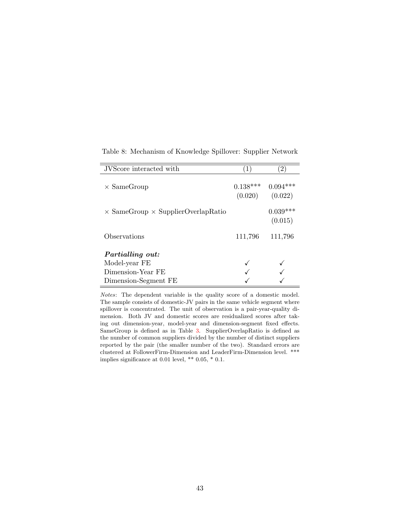<span id="page-44-0"></span>

| JVScore interacted with                          | (1)                   | $\left( 2\right)$     |
|--------------------------------------------------|-----------------------|-----------------------|
| $\times$ SameGroup                               | $0.138***$<br>(0.020) | $0.094***$<br>(0.022) |
| $\times$ SameGroup $\times$ SupplierOverlapRatio |                       | $0.039***$<br>(0.015) |
| Observations                                     | 111,796               | 111,796               |
| Partialling out:                                 |                       |                       |
| Model-year FE                                    |                       |                       |
| Dimension-Year FE                                |                       |                       |
| Dimension-Segment FE                             |                       |                       |

Table 8: Mechanism of Knowledge Spillover: Supplier Network

Notes: The dependent variable is the quality score of a domestic model. The sample consists of domestic-JV pairs in the same vehicle segment where spillover is concentrated. The unit of observation is a pair-year-quality dimension. Both JV and domestic scores are residualized scores after taking out dimension-year, model-year and dimension-segment fixed effects. SameGroup is defined as in Table [3.](#page-39-0) SupplierOverlapRatio is defined as the number of common suppliers divided by the number of distinct suppliers reported by the pair (the smaller number of the two). Standard errors are clustered at FollowerFirm-Dimension and LeaderFirm-Dimension level. \*\*\* implies significance at 0.01 level, \*\* 0.05, \* 0.1.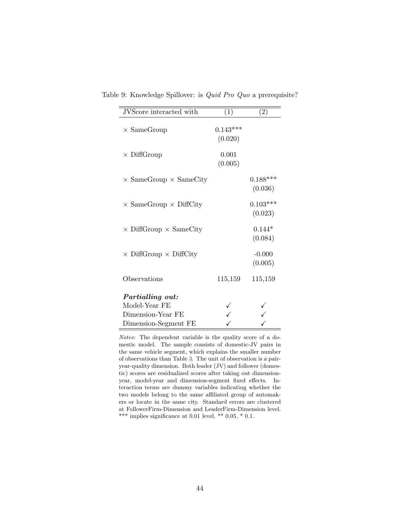| JVScore interacted with              | (1)                   | (2)                   |
|--------------------------------------|-----------------------|-----------------------|
| $\times$ SameGroup                   | $0.143***$<br>(0.020) |                       |
| $\times$ DiffGroup                   | 0.001<br>(0.005)      |                       |
| $\times$ SameGroup $\times$ SameCity |                       | $0.188***$<br>(0.036) |
| $\times$ SameGroup $\times$ DiffCity |                       | $0.103***$<br>(0.023) |
| $\times$ DiffGroup $\times$ SameCity |                       | $0.144*$<br>(0.084)   |
| $\times$ DiffGroup $\times$ DiffCity |                       | $-0.000$<br>(0.005)   |
| Observations                         | 115,159               | 115,159               |
| <i>Partialling out:</i>              |                       |                       |
| Model-Year FE                        |                       |                       |
| Dimension-Year FE                    |                       |                       |
| Dimension-Segment FE                 |                       |                       |

<span id="page-45-0"></span>Table 9: Knowledge Spillover: is Quid Pro Quo a prerequisite?

Notes: The dependent variable is the quality score of a domestic model. The sample consists of domestic-JV pairs in the same vehicle segment, which explains the smaller number of observations than Table [3.](#page-39-0) The unit of observation is a pairyear-quality dimension. Both leader (JV) and follower (domestic) scores are residualized scores after taking out dimensionyear, model-year and dimension-segment fixed effects. Interaction terms are dummy variables indicating whether the two models belong to the same affiliated group of automakers or locate in the same city. Standard errors are clustered at FollowerFirm-Dimension and LeaderFirm-Dimension level. \*\*\* implies significance at 0.01 level, \*\* 0.05, \* 0.1.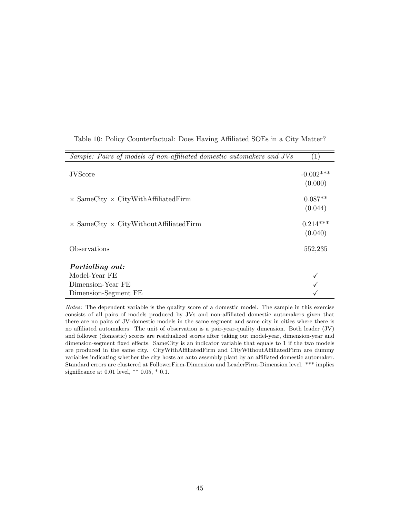<span id="page-46-0"></span>

| Sample: Pairs of models of non-affiliated domestic automakers and JVs | $\left( 1\right)$       |
|-----------------------------------------------------------------------|-------------------------|
| <b>JVScore</b>                                                        | $-0.002$ ***<br>(0.000) |
| $\times$ SameCity $\times$ CityWithAffiliatedFirm                     | $0.087**$<br>(0.044)    |
| $\times$ SameCity $\times$ CityWithoutAffiliatedFirm                  | $0.214***$<br>(0.040)   |
| Observations                                                          | 552,235                 |
| <i>Partialling out:</i>                                               |                         |
| Model-Year FE                                                         |                         |
| Dimension-Year FE                                                     |                         |
| Dimension-Segment FE                                                  |                         |

Table 10: Policy Counterfactual: Does Having Affiliated SOEs in a City Matter?

Notes: The dependent variable is the quality score of a domestic model. The sample in this exercise consists of all pairs of models produced by JVs and non-affiliated domestic automakers given that there are no pairs of JV-domestic models in the same segment and same city in cities where there is no affiliated automakers. The unit of observation is a pair-year-quality dimension. Both leader (JV) and follower (domestic) scores are residualized scores after taking out model-year, dimension-year and dimension-segment fixed effects. SameCity is an indicator variable that equals to 1 if the two models are produced in the same city. CityWithAffiliatedFirm and CityWithoutAffiliatedFirm are dummy variables indicating whether the city hosts an auto assembly plant by an affiliated domestic automaker. Standard errors are clustered at FollowerFirm-Dimension and LeaderFirm-Dimension level. \*\*\* implies significance at 0.01 level, \*\* 0.05, \* 0.1.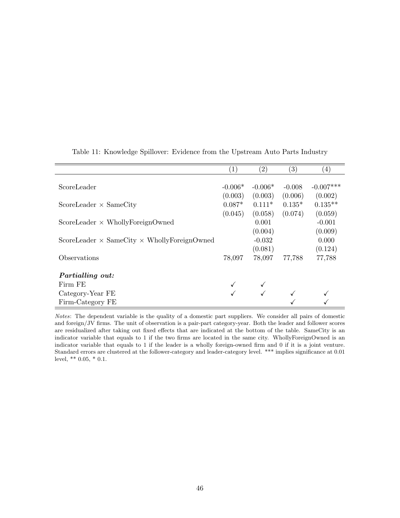<span id="page-47-0"></span>

|                                                           | $\left(1\right)$ | (2)       | (3)      | $\left(4\right)$ |
|-----------------------------------------------------------|------------------|-----------|----------|------------------|
| ScoreLeader                                               | $-0.006*$        | $-0.006*$ | $-0.008$ | $-0.007***$      |
|                                                           | (0.003)          | (0.003)   | (0.006)  | (0.002)          |
| ScoreLeader $\times$ SameCity                             | $0.087*$         | $0.111*$  | $0.135*$ | $0.135**$        |
|                                                           | (0.045)          | (0.058)   | (0.074)  | (0.059)          |
| $ScoreLeader \times WhollyForeignOwner$                   |                  | 0.001     |          | $-0.001$         |
|                                                           |                  | (0.004)   |          | (0.009)          |
| ScoreLeader $\times$ SameCity $\times$ WhollyForeignOwned |                  | $-0.032$  |          | 0.000            |
|                                                           |                  | (0.081)   |          | (0.124)          |
| Observations                                              | 78,097           | 78,097    | 77,788   | 77,788           |
| Partialling out:                                          |                  |           |          |                  |
| Firm FE                                                   |                  |           |          |                  |
| Category-Year FE                                          |                  |           |          |                  |
| Firm-Category FE                                          |                  |           |          |                  |

Table 11: Knowledge Spillover: Evidence from the Upstream Auto Parts Industry

Notes: The dependent variable is the quality of a domestic part suppliers. We consider all pairs of domestic and foreign/JV firms. The unit of observation is a pair-part category-year. Both the leader and follower scores are residualized after taking out fixed effects that are indicated at the bottom of the table. SameCity is an indicator variable that equals to 1 if the two firms are located in the same city. WhollyForeignOwned is an indicator variable that equals to 1 if the leader is a wholly foreign-owned firm and 0 if it is a joint venture. Standard errors are clustered at the follower-category and leader-category level. \*\*\* implies significance at 0.01 level, \*\* 0.05, \* 0.1.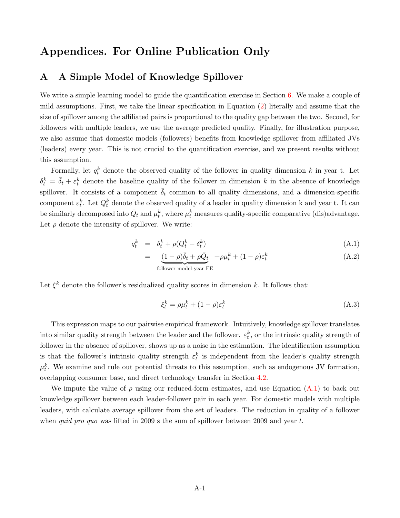# Appendices. For Online Publication Only

# <span id="page-48-0"></span>A A Simple Model of Knowledge Spillover

We write a simple learning model to guide the quantification exercise in Section [6.](#page-23-0) We make a couple of mild assumptions. First, we take the linear specification in Equation [\(2\)](#page-15-0) literally and assume that the size of spillover among the affiliated pairs is proportional to the quality gap between the two. Second, for followers with multiple leaders, we use the average predicted quality. Finally, for illustration purpose, we also assume that domestic models (followers) benefits from knowledge spillover from affiliated JVs (leaders) every year. This is not crucial to the quantification exercise, and we present results without this assumption.

Formally, let  $q_t^k$  denote the observed quality of the follower in quality dimension k in year t. Let  $\delta_t^k = \bar{\delta}_t + \varepsilon_t^k$  denote the baseline quality of the follower in dimension k in the absence of knowledge spillover. It consists of a component  $\overline{\delta}_t$  common to all quality dimensions, and a dimension-specific component  $\varepsilon_t^k$ . Let  $Q_t^k$  denote the observed quality of a leader in quality dimension k and year t. It can be similarly decomposed into  $\bar{Q}_t$  and  $\mu_t^k$ , where  $\mu_t^k$  measures quality-specific comparative (dis)advantage. Let  $\rho$  denote the intensity of spillover. We write:

<span id="page-48-1"></span>
$$
q_t^k = \delta_t^k + \rho(Q_t^k - \delta_t^k) \tag{A.1}
$$

$$
= \underbrace{(1-\rho)\bar{\delta}_t + \rho\bar{Q}_t}_{\text{follower model-year FE}} + \rho\mu_t^k + (1-\rho)\varepsilon_t^k
$$
\n(A.2)

Let  $\xi^k$  denote the follower's residualized quality scores in dimension k. It follows that:

$$
\xi_t^k = \rho \mu_t^k + (1 - \rho)\varepsilon_t^k \tag{A.3}
$$

This expression maps to our pairwise empirical framework. Intuitively, knowledge spillover translates into similar quality strength between the leader and the follower.  $\varepsilon_t^k$ , or the intrinsic quality strength of follower in the absence of spillover, shows up as a noise in the estimation. The identification assumption is that the follower's intrinsic quality strength  $\varepsilon_t^k$  is independent from the leader's quality strength  $\mu_t^k$ . We examine and rule out potential threats to this assumption, such as endogenous JV formation, overlapping consumer base, and direct technology transfer in Section [4.2.](#page-18-1)

We impute the value of  $\rho$  using our reduced-form estimates, and use Equation [\(A.1\)](#page-48-1) to back out knowledge spillover between each leader-follower pair in each year. For domestic models with multiple leaders, with calculate average spillover from the set of leaders. The reduction in quality of a follower when *quid pro quo* was lifted in 2009 s the sum of spillover between 2009 and year t.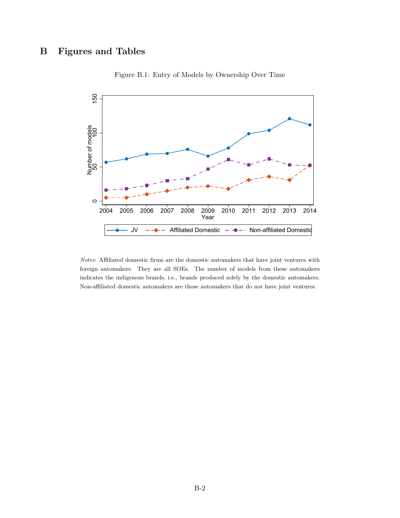# <span id="page-49-0"></span>B Figures and Tables



Figure B.1: Entry of Models by Ownership Over Time

Notes: Affiliated domestic firms are the domestic automakers that have joint ventures with foreign automakers. They are all SOEs. The number of models from these automakers indicates the indigenous brands, i.e., brands produced solely by the domestic automakers. Non-affiliated domestic automakers are those automakers that do not have joint ventures.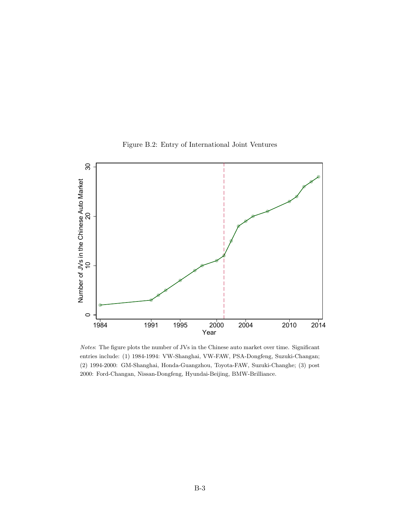<span id="page-50-0"></span>

Figure B.2: Entry of International Joint Ventures

Notes: The figure plots the number of JVs in the Chinese auto market over time. Significant entries include: (1) 1984-1994: VW-Shanghai, VW-FAW, PSA-Dongfeng, Suzuki-Changan; (2) 1994-2000: GM-Shanghai, Honda-Guangzhou, Toyota-FAW, Suzuki-Changhe; (3) post

2000: Ford-Changan, Nissan-Dongfeng, Hyundai-Beijing, BMW-Brilliance.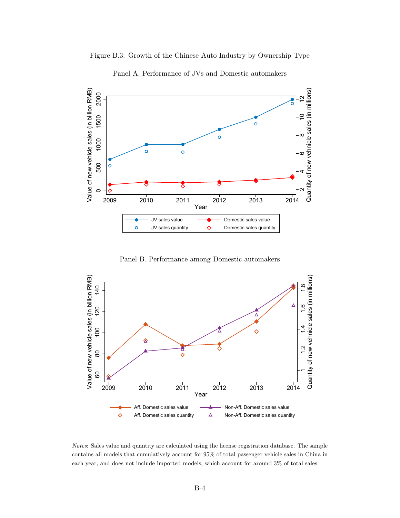<span id="page-51-0"></span>

Figure B.3: Growth of the Chinese Auto Industry by Ownership Type

Panel A. Performance of JVs and Domestic automakers

Panel B. Performance among Domestic automakers



Notes: Sales value and quantity are calculated using the license registration database. The sample contains all models that cumulatively account for 95% of total passenger vehicle sales in China in each year, and does not include imported models, which account for around 3% of total sales.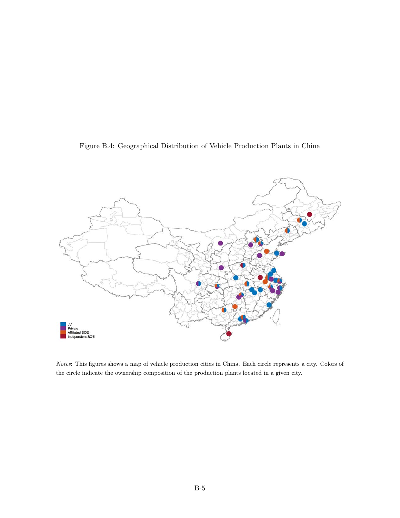

<span id="page-52-0"></span>

Notes: This figures shows a map of vehicle production cities in China. Each circle represents a city. Colors of the circle indicate the ownership composition of the production plants located in a given city.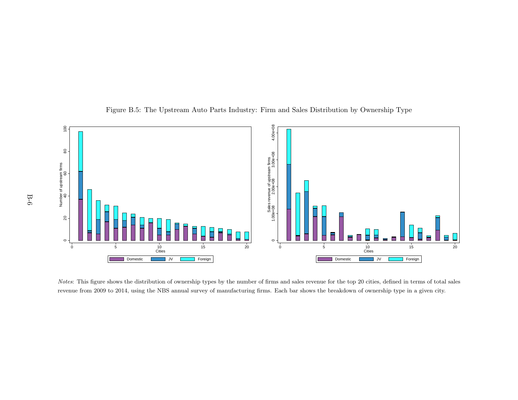

Figure B.5: The Upstream Auto Parts Industry: Firm and Sales Distribution by Ownership Type

<span id="page-53-0"></span>Notes: This figure shows the distribution of ownership types by the number of firms and sales revenue for the top 20 cities, defined in terms of total sales revenue from 2009 to 2014, using the NBS annual survey of manufacturing firms. Each bar shows the breakdown of ownership type in <sup>a</sup> given city.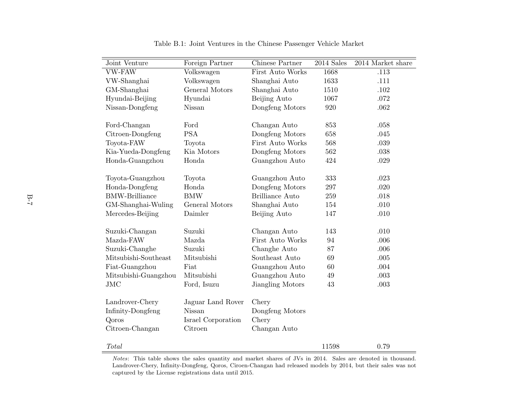| Joint Venture         | Foreign Partner    | Chinese Partner        | $2014$ Sales | 2014 Market share |
|-----------------------|--------------------|------------------------|--------------|-------------------|
| VW-FAW                | Volkswagen         | First Auto Works       | 1668         | .113              |
| VW-Shanghai           | Volkswagen         | Shanghai Auto          | 1633         | .111              |
| GM-Shanghai           | General Motors     | Shanghai Auto          | 1510         | .102              |
| Hyundai-Beijing       | Hyundai            | Beijing Auto           | 1067         | .072              |
| Nissan-Dongfeng       | Nissan             | Dongfeng Motors        | 920          | .062              |
|                       |                    |                        |              |                   |
| Ford-Changan          | Ford               | Changan Auto           | 853          | .058              |
| Citroen-Dongfeng      | <b>PSA</b>         | Dongfeng Motors        | 658          | .045              |
| Toyota-FAW            | Toyota             | First Auto Works       | 568          | .039              |
| Kia-Yueda-Dongfeng    | Kia Motors         | Dongfeng Motors        | 562          | $.038\,$          |
| Honda-Guangzhou       | Honda              | Guangzhou Auto         | 424          | .029              |
|                       |                    |                        |              |                   |
| Toyota-Guangzhou      | Toyota             | Guangzhou Auto         | 333          | .023              |
| Honda-Dongfeng        | Honda              | Dongfeng Motors        | 297          | .020              |
| <b>BMW-Brilliance</b> | <b>BMW</b>         | <b>Brilliance Auto</b> | 259          | .018              |
| GM-Shanghai-Wuling    | General Motors     | Shanghai Auto          | 154          | .010              |
| Mercedes-Beijing      | Daimler            | Beijing Auto           | 147          | .010              |
| Suzuki-Changan        | Suzuki             | Changan Auto           | 143          | .010              |
| Mazda-FAW             | Mazda              | First Auto Works       | 94           | .006              |
| Suzuki-Changhe        | Suzuki             | Changhe Auto           | 87           | .006              |
| Mitsubishi-Southeast  |                    | Southeast Auto         |              |                   |
|                       | Mitsubishi<br>Fiat |                        | 69           | .005              |
| Fiat-Guangzhou        | Mitsubishi         | Guangzhou Auto         | 60           | .004              |
| Mitsubishi-Guangzhou  |                    | Guangzhou Auto         | 49           | .003              |
| $_{\mathrm{JMC}}$     | Ford, Isuzu        | Jiangling Motors       | 43           | .003              |
| Landrover-Chery       | Jaguar Land Rover  | Chery                  |              |                   |
| Infinity-Dongfeng     | Nissan             | Dongfeng Motors        |              |                   |
| Qoros                 | Israel Corporation | Chery                  |              |                   |
| Citroen-Changan       | Citroen            | Changan Auto           |              |                   |
|                       |                    |                        |              |                   |
| Total                 |                    |                        | 11598        | 0.79              |

Table B.1: Joint Ventures in the Chinese Passenger Vehicle Market

<span id="page-54-0"></span>Notes: This table shows the sales quantity and market shares of JVs in 2014. Sales are denoted in thousand. Landrover-Chery, Infinity-Dongfeng, Qoros, Ciroen-Changan had released models by 2014, but their sales was notcaptured by the License registrations data until 2015.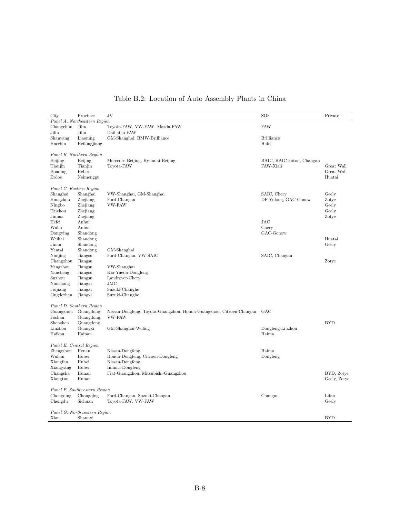<span id="page-55-0"></span>

| City                    | Province                     | JV                                                                      | SOE                       | Private      |
|-------------------------|------------------------------|-------------------------------------------------------------------------|---------------------------|--------------|
|                         | Panel A. Northeastern Region |                                                                         |                           |              |
| Changchun               | Jilin                        | Toyota-FAW, VW-FAW, Mazda-FAW                                           | <b>FAW</b>                |              |
| Jilin                   | Jilin                        | Daihatsu-FAW                                                            |                           |              |
| Shanyang                | Liaoning                     | GM-Shanghai, BMW-Brilliance                                             | <b>Brilliance</b>         |              |
| Haerbin                 | Heilongjiang                 |                                                                         | Hafei                     |              |
|                         |                              |                                                                         |                           |              |
|                         | Panel B. Northern Region     |                                                                         |                           |              |
| Beijing                 | Beijing                      | Mercedes-Beijing, Hyundai-Beijing                                       | BAIC, BAIC-Foton, Changan |              |
| Tianjin                 | Tianjin                      | Toyota-FAW                                                              | FAW-Xiali                 | Great Wall   |
| Boading                 | Hebei                        |                                                                         |                           | Great Wall   |
| Erdos                   | Neimenggu                    |                                                                         |                           | Huatai       |
|                         |                              |                                                                         |                           |              |
| Panel C. Eastern Region |                              |                                                                         |                           |              |
| Shanghai                | Shanghai                     | VW-Shanghai, GM-Shanghai                                                | SAIC, Chery               | Geely        |
| Hangzhou                | Zhejiang                     | Ford-Changan                                                            | DF-Yulong, GAC-Gonow      | Zotye        |
| Ningbo                  | Zhejiang                     | VW-FAW                                                                  |                           | Geely        |
| Taizhou                 | Zhejiang                     |                                                                         |                           | Geely        |
| Jinhua                  | Zhejiang                     |                                                                         |                           | Zotye        |
| Hefei                   | Anhui                        |                                                                         | <b>JAC</b>                |              |
| Wuhu                    | Anhui                        |                                                                         | Chery                     |              |
| Dongying                | Shandong                     |                                                                         | GAC-Gonow                 |              |
| Weihai                  | Shandong                     |                                                                         |                           | Huatai       |
| Jinan                   | Shandong                     |                                                                         |                           | Geely        |
| Yantai                  | Shandong                     | GM-Shanghai                                                             |                           |              |
| Nanjing                 | Jiangsu                      | Ford-Changan, VW-SAIC                                                   | SAIC, Changan             |              |
| Changzhou               | Jiangsu                      |                                                                         |                           | Zotye        |
| Yangzhou                | Jiangsu                      | VW-Shanghai                                                             |                           |              |
| Yancheng                | Jiangsu                      | Kia-Yueda-Dongfeng                                                      |                           |              |
| Suzhou                  | Jiangsu                      | Landrover-Chery                                                         |                           |              |
| Nanchang                | Jiangxi                      | JMC                                                                     |                           |              |
| Jiujiang                | Jiangxi                      | Suzuki-Changhe                                                          |                           |              |
| Jingdezhen              | Jiangxi                      | Suzuki-Changhe                                                          |                           |              |
|                         | Panel D. Southern Region     |                                                                         |                           |              |
| Guangzhou               | Guangdong                    | Nissan-Dongfeng, Toyota-Guangzhou, Honda-Guangzhou, Citroen-Changan GAC |                           |              |
| Foshan                  | Guangdong                    | <b>VW-FAW</b>                                                           |                           |              |
| Shenzhen                | Guangdong                    |                                                                         |                           | <b>BYD</b>   |
| Liuzhou                 | Guangxi                      | GM-Shanghai-Wuling                                                      | Dongfeng-Liuzhou          |              |
| Haikou                  | Hainan                       |                                                                         | Haima                     |              |
|                         |                              |                                                                         |                           |              |
| Panel E. Central Region |                              |                                                                         |                           |              |
| Zhengzhou               | Henan                        | Nissan-Dongfeng                                                         | Haima                     |              |
| Wuhan                   | Hubei                        | Honda-Dongfeng, Citroen-Dongfeng                                        | Dongfeng                  |              |
| Xiangfan                | Hubei                        | Nissan-Dongfeng                                                         |                           |              |
| Xiangyang               | Hubei                        | Infiniti-Dongfeng                                                       |                           |              |
| Changsha                | Hunan                        | Fiat-Guangzhou, Mitsubishi-Guangzhou                                    |                           | BYD, Zotye   |
| Xiangtan                | Hunan                        |                                                                         |                           | Geely, Zotye |
|                         |                              |                                                                         |                           |              |
|                         | Panel F. Southwestern Region |                                                                         |                           |              |
| Chongqing               | Chongqing                    | Ford-Changan, Suzuki-Changan                                            | Changan                   | Lifan        |
| Chengdu                 | Sichuan                      | Toyota-FAW, VW-FAW                                                      |                           | Geely        |
|                         |                              |                                                                         |                           |              |
|                         | Panel G. Northwestern Region |                                                                         |                           |              |
| Xian                    | Shannxi                      |                                                                         |                           | <b>BYD</b>   |

Table B.2: Location of Auto Assembly Plants in China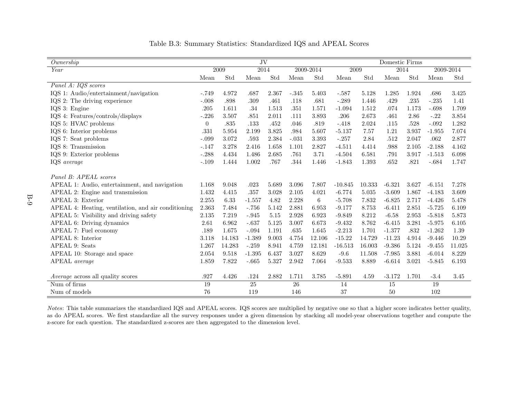| Ownership                                           |          |        | JV       |       |         |           | Domestic Firms |        |          |           |          |           |
|-----------------------------------------------------|----------|--------|----------|-------|---------|-----------|----------------|--------|----------|-----------|----------|-----------|
| $\overline{Year}$                                   |          | 2009   | 2014     |       |         | 2009-2014 | 2009           |        | 2014     |           |          | 2009-2014 |
|                                                     | Mean     | Std    | Mean     | Std   | Mean    | Std       | Mean           | Std    | Mean     | Std       | Mean     | Std       |
| Panel A: IQS scores                                 |          |        |          |       |         |           |                |        |          |           |          |           |
| IQS 1: Audio/entertainment/navigation               | $-.749$  | 4.972  | .687     | 2.367 | $-.345$ | 5.403     | $-.587$        | 5.128  | 1.285    | $1.924\,$ | .686     | 3.425     |
| IQS 2: The driving experience                       | $-.008$  | .898   | .309     | .461  | .118    | .681      | $-.289$        | 1.446  | .429     | .235      | $-.235$  | 1.41      |
| IQS 3: Engine                                       | .205     | 1.611  | .34      | 1.513 | .351    | 1.571     | $-1.094$       | 1.512  | .074     | 1.173     | $-.698$  | 1.709     |
| IQS 4: Features/controls/displays                   | $-.226$  | 3.507  | .851     | 2.011 | .111    | 3.893     | .206           | 2.673  | .461     | 2.86      | $-.22$   | 3.854     |
| IQS 5: HVAC problems                                | $\theta$ | .835   | .133     | .452  | .046    | .819      | $-.418$        | 2.024  | .115     | .528      | $-.092$  | 1.282     |
| IQS 6: Interior problems                            | .331     | 5.954  | 2.199    | 3.825 | .984    | 5.607     | $-5.137$       | 7.57   | 1.21     | 3.937     | $-1.955$ | 7.074     |
| IQS 7: Seat problems                                | $-.099$  | 3.072  | .593     | 2.384 | $-.031$ | 3.393     | $-.257$        | 2.84   | .512     | 2.047     | .062     | 2.877     |
| IQS 8: Transmission                                 | $-.147$  | 3.278  | 2.416    | 1.658 | 1.101   | 2.827     | $-4.511$       | 4.414  | .988     | 2.105     | $-2.188$ | 4.162     |
| IQS 9: Exterior problems                            | $-.288$  | 4.434  | 1.486    | 2.685 | .761    | 3.71      | $-4.504$       | 6.581  | .791     | 3.917     | $-1.513$ | 6.098     |
| IQS average                                         | $-.109$  | 1.444  | 1.002    | .767  | .344    | 1.446     | $-1.843$       | 1.393  | .652     | .821      | $-.684$  | 1.747     |
|                                                     |          |        |          |       |         |           |                |        |          |           |          |           |
| Panel B: APEAL scores                               |          |        |          |       |         |           |                |        |          |           |          |           |
| APEAL 1: Audio, entertainment, and navigation       | 1.168    | 9.048  | .023     | 5.689 | 3.096   | 7.807     | $-10.845$      | 10.333 | $-6.321$ | 3.627     | $-6.151$ | 7.278     |
| APEAL 2: Engine and transmission                    | 1.432    | 4.415  | .357     | 3.028 | 2.105   | 4.021     | $-6.774$       | 5.035  | $-3.609$ | 1.867     | $-4.183$ | 3.609     |
| APEAL 3: Exterior                                   | 2.255    | 6.33   | $-1.557$ | 4.82  | 2.228   | $\,6\,$   | $-5.708$       | 7.832  | $-6.825$ | 2.717     | $-4.426$ | 5.478     |
| APEAL 4: Heating, ventilation, and air conditioning | 2.363    | 7.484  | $-.756$  | 5.142 | 2.881   | 6.953     | $-9.177$       | 8.753  | $-6.411$ | 2.851     | $-5.725$ | 6.109     |
| APEAL 5: Visibility and driving safety              | 2.135    | 7.219  | $-.945$  | 5.15  | 2.928   | 6.923     | $-9.849$       | 8.212  | $-6.58$  | 2.953     | $-5.818$ | 5.873     |
| APEAL 6: Driving dynamics                           | 2.61     | 6.962  | $-.637$  | 5.125 | 3.007   | 6.673     | $-9.432$       | 8.762  | $-6.415$ | 3.281     | $-5.975$ | 6.105     |
| APEAL 7: Fuel economy                               | .189     | 1.675  | $-.094$  | 1.191 | .635    | 1.645     | $-2.213$       | 1.701  | $-1.377$ | .832      | $-1.262$ | 1.39      |
| APEAL 8: Interior                                   | 3.118    | 14.183 | $-1.389$ | 9.003 | 4.754   | 12.106    | $-15.22$       | 14.729 | $-11.23$ | 4.914     | $-9.446$ | 10.29     |
| APEAL 9: Seats                                      | 1.267    | 14.283 | $-.259$  | 8.941 | 4.759   | 12.181    | $-16.513$      | 16.003 | $-9.386$ | 5.124     | $-9.455$ | 11.025    |
| APEAL 10: Storage and space                         | 2.054    | 9.518  | $-1.395$ | 6.437 | 3.027   | 8.629     | $-9.6$         | 11.508 | $-7.985$ | 3.881     | $-6.014$ | 8.229     |
| APEAL average                                       | 1.859    | 7.822  | $-.665$  | 5.327 | 2.942   | 7.064     | $-9.533$       | 8.889  | $-6.614$ | 3.021     | $-5.845$ | 6.193     |
|                                                     |          |        |          |       |         |           |                |        |          |           |          |           |
| <i>Average</i> across all quality scores            | .927     | 4.426  | .124     | 2.882 | 1.711   | 3.785     | $-5.891$       | 4.59   | $-3.172$ | 1.701     | $-3.4$   | 3.45      |
| Num of firms                                        | 19       |        | 25       |       | 26      |           | 14             |        | 15       |           | 19       |           |
| Num of models                                       | 76       |        | 119      |       | 146     |           | 37             |        | 50       |           | 102      |           |

<span id="page-56-0"></span>Table B.3: Summary Statistics: Standardized IQS and APEAL Scores

Notes: This table summarizes the standardized IQS and APEAL scores. IQS scores are multiplied by negative one so that <sup>a</sup> higher score indicates better quality, as do APEAL scores. We first standardize all the survey responses under <sup>a</sup> given dimension by stacking all model-year observations together and compute thez-score for each question. The standardized z-scores are then aggregated to the dimension level.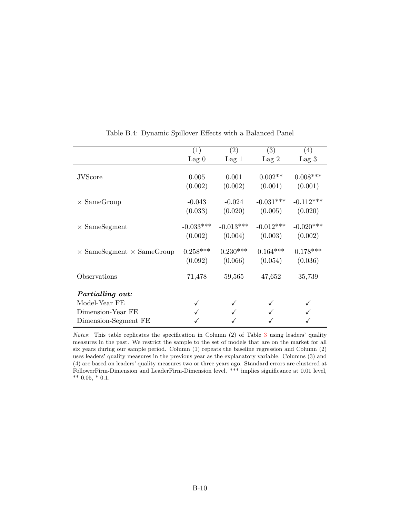<span id="page-57-0"></span>

|                                         | (1)            | (2)            | (3)            | (4)            |
|-----------------------------------------|----------------|----------------|----------------|----------------|
|                                         | $\text{Lag} 0$ | $\text{Lag} 1$ | $\text{Lag} 2$ | $\text{Lag}~3$ |
|                                         |                |                |                |                |
| <b>JVScore</b>                          | 0.005          | 0.001          | $0.002**$      | $0.008***$     |
|                                         | (0.002)        | (0.002)        | (0.001)        | (0.001)        |
| $\times$ SameGroup                      | $-0.043$       | $-0.024$       | $-0.031***$    | $-0.112***$    |
|                                         | (0.033)        | (0.020)        | (0.005)        | (0.020)        |
| $\times$ SameSegment                    | $-0.033***$    | $-0.013***$    | $-0.012***$    | $-0.020***$    |
|                                         | (0.002)        | (0.004)        | (0.003)        | (0.002)        |
| $\times$ SameSegment $\times$ SameGroup | $0.258***$     | $0.230***$     | $0.164***$     | $0.178***$     |
|                                         | (0.092)        | (0.066)        | (0.054)        | (0.036)        |
| Observations                            | 71,478         | 59,565         | 47,652         | 35,739         |
| Partialling out:                        |                |                |                |                |
| Model-Year FE                           |                |                |                |                |
| Dimension-Year FE                       |                |                |                |                |
| Dimension-Segment FE                    |                |                |                |                |

Table B.4: Dynamic Spillover Effects with a Balanced Panel

Notes: This table replicates the specification in Column (2) of Table [3](#page-39-0) using leaders' quality measures in the past. We restrict the sample to the set of models that are on the market for all six years during our sample period. Column (1) repeats the baseline regression and Column (2) uses leaders' quality measures in the previous year as the explanatory variable. Columns (3) and (4) are based on leaders' quality measures two or three years ago. Standard errors are clustered at FollowerFirm-Dimension and LeaderFirm-Dimension level. \*\*\* implies significance at 0.01 level,  $*** 0.05, * 0.1.$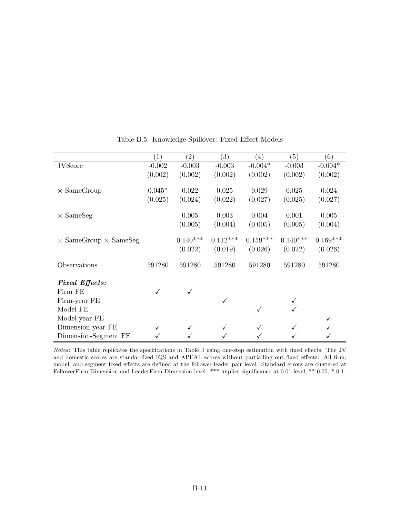<span id="page-58-0"></span>

|                                     | (1)      | $\left( 2\right)$ | $\left( 3\right)$ | (4)          | (5)        | (6)        |
|-------------------------------------|----------|-------------------|-------------------|--------------|------------|------------|
| <b>JVScore</b>                      | $-0.002$ | $-0.003$          | $-0.003$          | $-0.004*$    | $-0.003$   | $-0.004*$  |
|                                     | (0.002)  | (0.002)           | (0.002)           | (0.002)      | (0.002)    | (0.002)    |
| $\times$ SameGroup                  | $0.045*$ | 0.022             | 0.025             | 0.029        | 0.025      | 0.024      |
|                                     | (0.025)  | (0.024)           | (0.022)           | (0.027)      | (0.025)    | (0.027)    |
| $\times$ SameSeg                    |          | 0.005             | 0.003             | 0.004        | 0.001      | 0.005      |
|                                     |          | (0.005)           | (0.004)           | (0.005)      | (0.005)    | (0.004)    |
| $\times$ SameGroup $\times$ SameSeg |          | $0.140***$        | $0.112***$        | $0.159***$   | $0.140***$ | $0.169***$ |
|                                     |          | (0.022)           | (0.019)           | (0.026)      | (0.022)    | (0.026)    |
| Observations                        | 591280   | 591280            | 591280            | 591280       | 591280     | 591280     |
| <b>Fixed Effects:</b>               |          |                   |                   |              |            |            |
| Firm FE                             | ✓        | $\checkmark$      |                   |              |            |            |
| Firm-year FE                        |          |                   | ✓                 |              |            |            |
| Model FE                            |          |                   |                   | $\checkmark$ |            |            |
| Model-year FE                       |          |                   |                   |              |            |            |
| Dimension-year FE                   | ✓        |                   |                   |              |            |            |
| Dimension-Segment FE                |          |                   |                   |              |            |            |

Table B.5: Knowledge Spillover: Fixed Effect Models

Notes: This table replicates the specifications in Table [3](#page-39-0) using one-step estimation with fixed effects. The JV and domestic scores are standardized IQS and APEAL scores without partialling out fixed effects. All firm, model, and segment fixed effects are defined at the follower-leader pair level. Standard errors are clustered at FollowerFirm-Dimension and LeaderFirm-Dimension level. \*\*\* implies significance at 0.01 level, \*\* 0.05, \* 0.1.